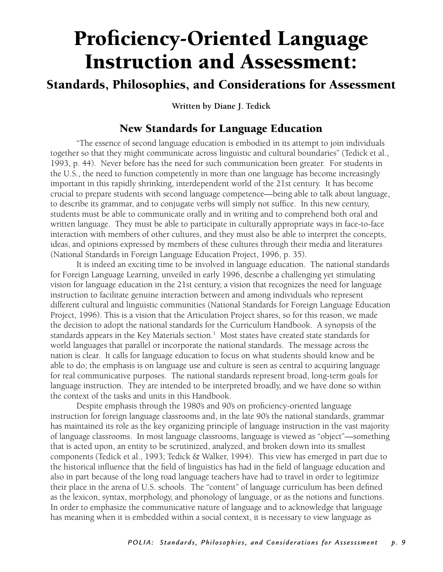## Proficiency-Oriented Language Instruction and Assessment:

## Standards, Philosophies, and Considerations for Assessment

**Written by Diane J. Tedick**

## New Standards for Language Education

 "The essence of second language education is embodied in its attempt to join individuals together so that they might communicate across linguistic and cultural boundaries" (Tedick et al., 1993, p. 44). Never before has the need for such communication been greater. For students in the U.S., the need to function competently in more than one language has become increasingly important in this rapidly shrinking, interdependent world of the 21st century. It has become crucial to prepare students with second language competence—being able to talk about language, to describe its grammar, and to conjugate verbs will simply not suffice. In this new century, students must be able to communicate orally and in writing and to comprehend both oral and written language. They must be able to participate in culturally appropriate ways in face-to-face interaction with members of other cultures, and they must also be able to interpret the concepts, ideas, and opinions expressed by members of these cultures through their media and literatures (National Standards in Foreign Language Education Project, 1996, p. 35).

 It is indeed an exciting time to be involved in language education. The national standards for Foreign Language Learning, unveiled in early 1996, describe a challenging yet stimulating vision for language education in the 21st century, a vision that recognizes the need for language instruction to facilitate genuine interaction between and among individuals who represent different cultural and linguistic communities (National Standards for Foreign Language Education Project, 1996). This is a vision that the Articulation Project shares, so for this reason, we made the decision to adopt the national standards for the Curriculum Handbook. A synopsis of the standards appears in the Key Materials section. $^1\,$  Most states have created state standards for world languages that parallel or incorporate the national standards. The message across the nation is clear. It calls for language education to focus on what students should know and be able to do; the emphasis is on language use and culture is seen as central to acquiring language for real communicative purposes. The national standards represent broad, long-term goals for language instruction. They are intended to be interpreted broadly, and we have done so within the context of the tasks and units in this Handbook.

 Despite emphasis through the 1980's and 90's on proficiency-oriented language instruction for foreign language classrooms and, in the late 90's the national standards, grammar has maintained its role as the key organizing principle of language instruction in the vast majority of language classrooms. In most language classrooms, language is viewed as "object"—something that is acted upon, an entity to be scrutinized, analyzed, and broken down into its smallest components (Tedick et al., 1993; Tedick & Walker, 1994). This view has emerged in part due to the historical influence that the field of linguistics has had in the field of language education and also in part because of the long road language teachers have had to travel in order to legitimize their place in the arena of U.S. schools. The "content" of language curriculum has been defined as the lexicon, syntax, morphology, and phonology of language, or as the notions and functions. In order to emphasize the communicative nature of language and to acknowledge that language has meaning when it is embedded within a social context, it is necessary to view language as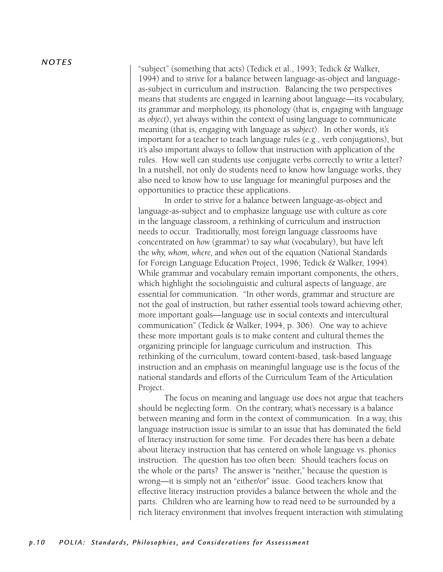*N OT E S*

"subject" (something that acts) (Tedick et al., 1993; Tedick & Walker, 1994) and to strive for a balance between language-as-object and languageas-subject in curriculum and instruction. Balancing the two perspectives means that students are engaged in learning about language—its vocabulary, its grammar and morphology, its phonology (that is, engaging with language as *object*), yet always within the context of using language to communicate meaning (that is, engaging with language as *subject*). In other words, it's important for a teacher to teach language rules (e.g., verb conjugations), but it's also important always to follow that instruction with application of the rules. How well can students use conjugate verbs correctly to write a letter? In a nutshell, not only do students need to know how language works, they also need to know how to use language for meaningful purposes and the opportunities to practice these applications.

 In order to strive for a balance between language-as-object and language-as-subject and to emphasize language use with culture as core in the language classroom, a rethinking of curriculum and instruction needs to occur. Traditionally, most foreign language classrooms have concentrated on *how* (grammar) to say *what* (vocabulary), but have left the *why, whom, where,* and *when* out of the equation (National Standards for Foreign Language Education Project, 1996; Tedick & Walker, 1994). While grammar and vocabulary remain important components, the others, which highlight the sociolinguistic and cultural aspects of language, are essential for communication. "In other words, grammar and structure are not the goal of instruction, but rather essential tools toward achieving other, more important goals—language use in social contexts and intercultural communication" (Tedick & Walker, 1994, p. 306). One way to achieve these more important goals is to make content and cultural themes the organizing principle for language curriculum and instruction. This rethinking of the curriculum, toward content-based, task-based language instruction and an emphasis on meaningful language use is the focus of the national standards and efforts of the Curriculum Team of the Articulation Project.

 The focus on meaning and language use does not argue that teachers should be neglecting form. On the contrary, what's necessary is a balance between meaning and form in the context of communication. In a way, this language instruction issue is similar to an issue that has dominated the field of literacy instruction for some time. For decades there has been a debate about literacy instruction that has centered on whole language vs. phonics instruction. The question has too often been: Should teachers focus on the whole or the parts? The answer is "neither," because the question is wrong—it is simply not an "either/or" issue. Good teachers know that effective literacy instruction provides a balance between the whole and the parts. Children who are learning how to read need to be surrounded by a rich literacy environment that involves frequent interaction with stimulating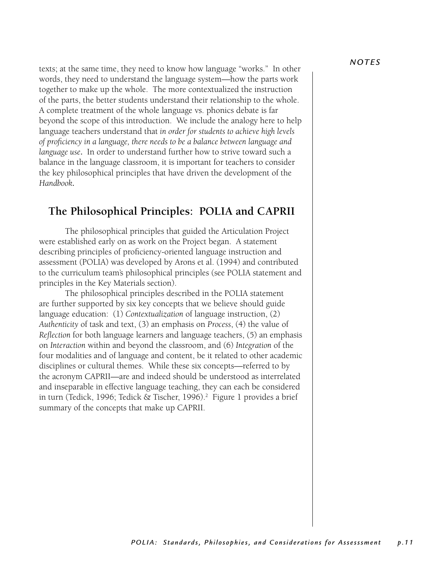texts; at the same time, they need to know how language "works." In other words, they need to understand the language system—how the parts work together to make up the whole. The more contextualized the instruction of the parts, the better students understand their relationship to the whole. A complete treatment of the whole language vs. phonics debate is far beyond the scope of this introduction. We include the analogy here to help language teachers understand that *in order for students to achieve high levels of proficiency in a language, there needs to be a balance between language and language use*. In order to understand further how to strive toward such a balance in the language classroom, it is important for teachers to consider the key philosophical principles that have driven the development of the *Handbook*.

## **The Philosophical Principles: POLIA and CAPRII**

The philosophical principles that guided the Articulation Project were established early on as work on the Project began. A statement describing principles of proficiency-oriented language instruction and assessment (POLIA) was developed by Arons et al. (1994) and contributed to the curriculum team's philosophical principles (see POLIA statement and principles in the Key Materials section).

 The philosophical principles described in the POLIA statement are further supported by six key concepts that we believe should guide language education: (1) *Contextualization* of language instruction, (2) *Authenticity* of task and text, (3) an emphasis on *Process*, (4) the value of *Reflection* for both language learners and language teachers, (5) an emphasis on *Interaction* within and beyond the classroom, and (6) *Integration* of the four modalities and of language and content, be it related to other academic disciplines or cultural themes. While these six concepts—referred to by the acronym CAPRII—are and indeed should be understood as interrelated and inseparable in effective language teaching, they can each be considered in turn (Tedick, 1996; Tedick & Tischer, 1996).<sup>2</sup> Figure 1 provides a brief summary of the concepts that make up CAPRII.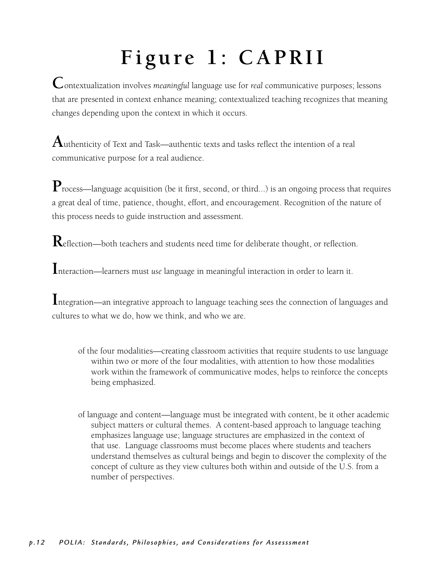# Figure 1: CAPRII

**C**ontextualization involves *meaningful* language use for *real* communicative purposes; lessons that are presented in context enhance meaning; contextualized teaching recognizes that meaning changes depending upon the context in which it occurs.

**A**uthenticity of Text and Task—authentic texts and tasks reflect the intention of <sup>a</sup> real communicative purpose for a real audience.

**P**rocess—language acquisition (be it first, second, or third...) is an ongoing process that requires a great deal of time, patience, thought, effort, and encouragement. Recognition of the nature of this process needs to guide instruction and assessment.

**R**eflection—both teachers and students need time for deliberate thought, or reflection.

**I**nteraction—learners must *use* language in meaningful interaction in order to learn it.

**I**ntegration—an integrative approach to language teaching sees the connection of languages and cultures to what we do, how we think, and who we are.

- of the four modalities—creating classroom activities that require students to use language within two or more of the four modalities, with attention to how those modalities work within the framework of communicative modes, helps to reinforce the concepts being emphasized.
- of language and content—language must be integrated with content, be it other academic subject matters or cultural themes. A content-based approach to language teaching emphasizes language use; language structures are emphasized in the context of that use. Language classrooms must become places where students and teachers understand themselves as cultural beings and begin to discover the complexity of the concept of culture as they view cultures both within and outside of the U.S. from a number of perspectives.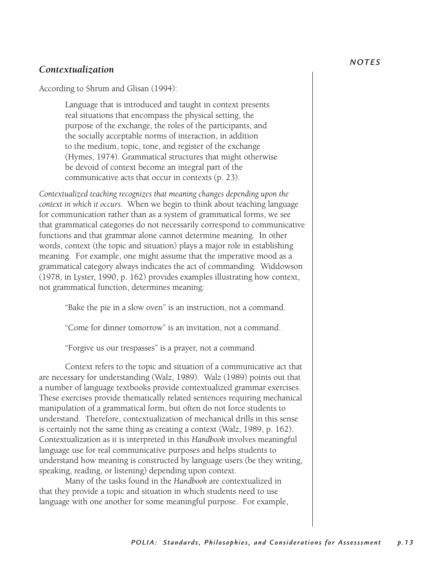#### *N OT E S*

#### *Contextualization*

According to Shrum and Glisan (1994):

Language that is introduced and taught in context presents real situations that encompass the physical setting, the purpose of the exchange, the roles of the participants, and the socially acceptable norms of interaction, in addition to the medium, topic, tone, and register of the exchange (Hymes, 1974). Grammatical structures that might otherwise be devoid of context become an integral part of the communicative acts that occur in contexts (p. 23).

*Contextualized teaching recognizes that meaning changes depending upon the context in which it occurs*. When we begin to think about teaching language for communication rather than as a system of grammatical forms, we see that grammatical categories do not necessarily correspond to communicative functions and that grammar alone cannot determine meaning. In other words, context (the topic and situation) plays a major role in establishing meaning. For example, one might assume that the imperative mood as a grammatical category always indicates the act of commanding. Widdowson (1978, in Lyster, 1990, p. 162) provides examples illustrating how context, not grammatical function, determines meaning:

"Bake the pie in a slow oven" is an instruction, not a command.

"Come for dinner tomorrow" is an invitation, not a command.

"Forgive us our trespasses" is a prayer, not a command.

Context refers to the topic and situation of a communicative act that are necessary for understanding (Walz, 1989). Walz (1989) points out that a number of language textbooks provide contextualized grammar exercises. These exercises provide thematically related sentences requiring mechanical manipulation of a grammatical form, but often do not force students to understand. Therefore, contextualization of mechanical drills in this sense is certainly not the same thing as creating a context (Walz, 1989, p. 162). Contextualization as it is interpreted in this *Handbook* involves meaningful language use for real communicative purposes and helps students to understand how meaning is constructed by language users (be they writing, speaking, reading, or listening) depending upon context.

Many of the tasks found in the *Handbook* are contextualized in that they provide a topic and situation in which students need to use language with one another for some meaningful purpose. For example,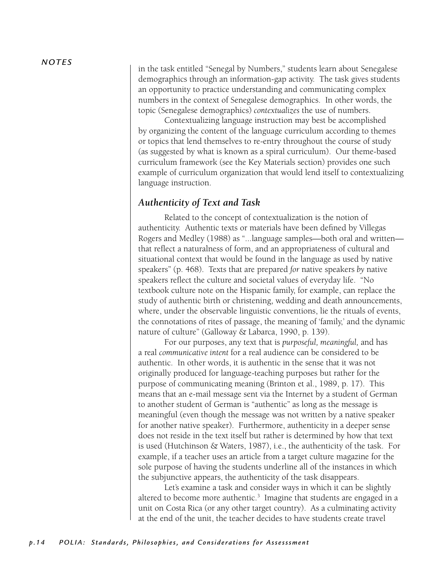in the task entitled "Senegal by Numbers," students learn about Senegalese demographics through an information-gap activity. The task gives students an opportunity to practice understanding and communicating complex numbers in the context of Senegalese demographics. In other words, the topic (Senegalese demographics) *contextualizes* the use of numbers.

Contextualizing language instruction may best be accomplished by organizing the content of the language curriculum according to themes or topics that lend themselves to re-entry throughout the course of study (as suggested by what is known as a spiral curriculum). Our theme-based curriculum framework (see the Key Materials section) provides one such example of curriculum organization that would lend itself to contextualizing language instruction.

#### *Authenticity of Text and Task*

Related to the concept of contextualization is the notion of authenticity. Authentic texts or materials have been defined by Villegas Rogers and Medley (1988) as "...language samples—both oral and written that reflect a naturalness of form, and an appropriateness of cultural and situational context that would be found in the language as used by native speakers" (p. 468). Texts that are prepared *for* native speakers *by* native speakers reflect the culture and societal values of everyday life. "No textbook culture note on the Hispanic family, for example, can replace the study of authentic birth or christening, wedding and death announcements, where, under the observable linguistic conventions, lie the rituals of events, the connotations of rites of passage, the meaning of 'family,' and the dynamic nature of culture" (Galloway & Labarca, 1990, p. 139).

 For our purposes, any text that is *purposeful, meaningful,* and has a real *communicative intent* for a real audience can be considered to be authentic. In other words, it is authentic in the sense that it was not originally produced for language-teaching purposes but rather for the purpose of communicating meaning (Brinton et al., 1989, p. 17). This means that an e-mail message sent via the Internet by a student of German to another student of German is "authentic" as long as the message is meaningful (even though the message was not written by a native speaker for another native speaker). Furthermore, authenticity in a deeper sense does not reside in the text itself but rather is determined by how that text is used (Hutchinson & Waters, 1987), i.e., the authenticity of the task. For example, if a teacher uses an article from a target culture magazine for the sole purpose of having the students underline all of the instances in which the subjunctive appears, the authenticity of the task disappears.

Let's examine a task and consider ways in which it can be slightly altered to become more authentic. $3$  Imagine that students are engaged in a unit on Costa Rica (or any other target country). As a culminating activity at the end of the unit, the teacher decides to have students create travel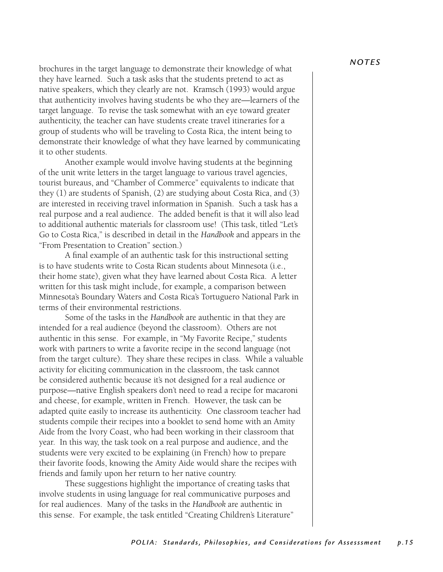brochures in the target language to demonstrate their knowledge of what they have learned. Such a task asks that the students pretend to act as native speakers, which they clearly are not. Kramsch (1993) would argue that authenticity involves having students be who they are—learners of the target language. To revise the task somewhat with an eye toward greater authenticity, the teacher can have students create travel itineraries for a group of students who will be traveling to Costa Rica, the intent being to demonstrate their knowledge of what they have learned by communicating it to other students.

 Another example would involve having students at the beginning of the unit write letters in the target language to various travel agencies, tourist bureaus, and "Chamber of Commerce" equivalents to indicate that they (1) are students of Spanish, (2) are studying about Costa Rica, and (3) are interested in receiving travel information in Spanish. Such a task has a real purpose and a real audience. The added benefit is that it will also lead to additional authentic materials for classroom use! (This task, titled "Let's Go to Costa Rica," is described in detail in the *Handbook* and appears in the "From Presentation to Creation" section.)

 A final example of an authentic task for this instructional setting is to have students write to Costa Rican students about Minnesota (i.e., their home state), given what they have learned about Costa Rica. A letter written for this task might include, for example, a comparison between Minnesota's Boundary Waters and Costa Rica's Tortuguero National Park in terms of their environmental restrictions.

 Some of the tasks in the *Handbook* are authentic in that they are intended for a real audience (beyond the classroom). Others are not authentic in this sense. For example, in "My Favorite Recipe," students work with partners to write a favorite recipe in the second language (not from the target culture). They share these recipes in class. While a valuable activity for eliciting communication in the classroom, the task cannot be considered authentic because it's not designed for a real audience or purpose—native English speakers don't need to read a recipe for macaroni and cheese, for example, written in French. However, the task can be adapted quite easily to increase its authenticity. One classroom teacher had students compile their recipes into a booklet to send home with an Amity Aide from the Ivory Coast, who had been working in their classroom that year. In this way, the task took on a real purpose and audience, and the students were very excited to be explaining (in French) how to prepare their favorite foods, knowing the Amity Aide would share the recipes with friends and family upon her return to her native country.

 These suggestions highlight the importance of creating tasks that involve students in using language for real communicative purposes and for real audiences. Many of the tasks in the *Handbook* are authentic in this sense. For example, the task entitled "Creating Children's Literature"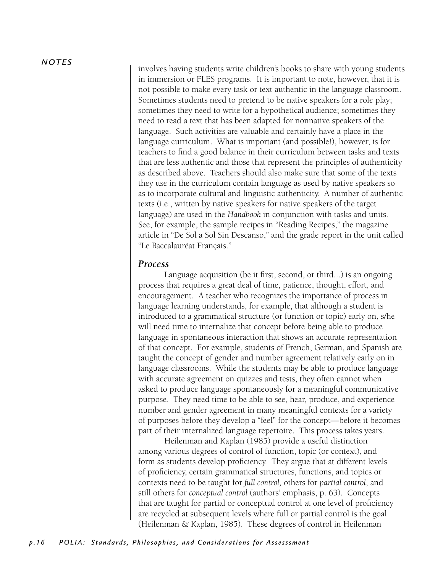#### *N OT E S*

involves having students write children's books to share with young students in immersion or FLES programs. It is important to note, however, that it is not possible to make every task or text authentic in the language classroom. Sometimes students need to pretend to be native speakers for a role play; sometimes they need to write for a hypothetical audience; sometimes they need to read a text that has been adapted for nonnative speakers of the language. Such activities are valuable and certainly have a place in the language curriculum. What is important (and possible!), however, is for teachers to find a good balance in their curriculum between tasks and texts that are less authentic and those that represent the principles of authenticity as described above. Teachers should also make sure that some of the texts they use in the curriculum contain language as used by native speakers so as to incorporate cultural and linguistic authenticity. A number of authentic texts (i.e., written by native speakers for native speakers of the target language) are used in the *Handbook* in conjunction with tasks and units. See, for example, the sample recipes in "Reading Recipes," the magazine article in "De Sol a Sol Sin Descanso," and the grade report in the unit called "Le Baccalauréat Français."

#### *Process*

Language acquisition (be it first, second, or third...) is an ongoing process that requires a great deal of time, patience, thought, effort, and encouragement. A teacher who recognizes the importance of process in language learning understands, for example, that although a student is introduced to a grammatical structure (or function or topic) early on, s/he will need time to internalize that concept before being able to produce language in spontaneous interaction that shows an accurate representation of that concept. For example, students of French, German, and Spanish are taught the concept of gender and number agreement relatively early on in language classrooms. While the students may be able to produce language with accurate agreement on quizzes and tests, they often cannot when asked to produce language spontaneously for a meaningful communicative purpose. They need time to be able to see, hear, produce, and experience number and gender agreement in many meaningful contexts for a variety of purposes before they develop a "feel" for the concept—before it becomes part of their internalized language repertoire. This process takes years.

 Heilenman and Kaplan (1985) provide a useful distinction among various degrees of control of function, topic (or context), and form as students develop proficiency. They argue that at different levels of proficiency, certain grammatical structures, functions, and topics or contexts need to be taught for *full control,* others for *partial control*, and still others for *conceptual control* (authors' emphasis, p. 63). Concepts that are taught for partial or conceptual control at one level of proficiency are recycled at subsequent levels where full or partial control is the goal (Heilenman & Kaplan, 1985). These degrees of control in Heilenman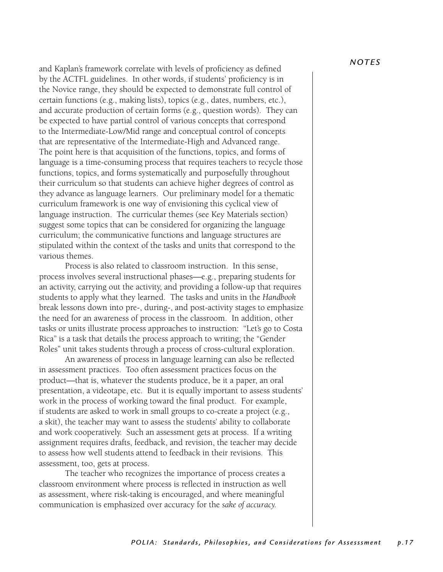and Kaplan's framework correlate with levels of proficiency as defined by the ACTFL guidelines. In other words, if students' proficiency is in the Novice range, they should be expected to demonstrate full control of certain functions (e.g., making lists), topics (e.g., dates, numbers, etc.), and accurate production of certain forms (e.g., question words). They can be expected to have partial control of various concepts that correspond to the Intermediate-Low/Mid range and conceptual control of concepts that are representative of the Intermediate-High and Advanced range. The point here is that acquisition of the functions, topics, and forms of language is a time-consuming process that requires teachers to recycle those functions, topics, and forms systematically and purposefully throughout their curriculum so that students can achieve higher degrees of control as they advance as language learners. Our preliminary model for a thematic curriculum framework is one way of envisioning this cyclical view of language instruction. The curricular themes (see Key Materials section) suggest some topics that can be considered for organizing the language curriculum; the communicative functions and language structures are stipulated within the context of the tasks and units that correspond to the various themes.

 Process is also related to classroom instruction. In this sense, process involves several instructional phases—e.g., preparing students for an activity, carrying out the activity, and providing a follow-up that requires students to apply what they learned. The tasks and units in the *Handbook* break lessons down into pre-, during-, and post-activity stages to emphasize the need for an awareness of process in the classroom. In addition, other tasks or units illustrate process approaches to instruction: "Let's go to Costa Rica" is a task that details the process approach to writing; the "Gender Roles" unit takes students through a process of cross-cultural exploration.

An awareness of process in language learning can also be reflected in assessment practices. Too often assessment practices focus on the product—that is, whatever the students produce, be it a paper, an oral presentation, a videotape, etc. But it is equally important to assess students' work in the process of working toward the final product. For example, if students are asked to work in small groups to co-create a project (e.g., a skit), the teacher may want to assess the students' ability to collaborate and work cooperatively. Such an assessment gets at process. If a writing assignment requires drafts, feedback, and revision, the teacher may decide to assess how well students attend to feedback in their revisions. This assessment, too, gets at process.

The teacher who recognizes the importance of process creates a classroom environment where process is reflected in instruction as well as assessment, where risk-taking is encouraged, and where meaningful communication is emphasized over accuracy for the *sake of accuracy.*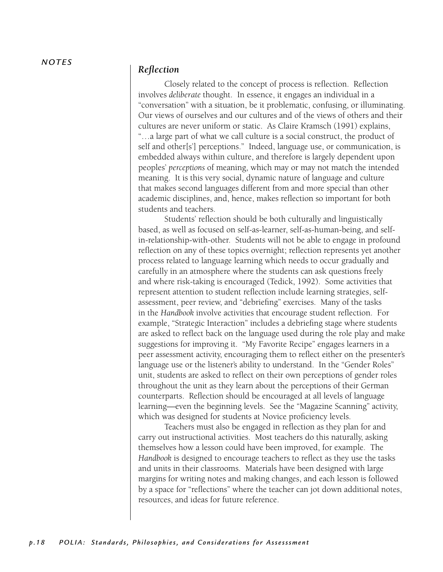#### *Reflection*

Closely related to the concept of process is reflection. Reflection involves *deliberate* thought. In essence, it engages an individual in a "conversation" with a situation, be it problematic, confusing, or illuminating. Our views of ourselves and our cultures and of the views of others and their cultures are never uniform or static. As Claire Kramsch (1991) explains, "…a large part of what we call culture is a social construct, the product of self and other[s'] perceptions." Indeed, language use, or communication, is embedded always within culture, and therefore is largely dependent upon peoples' *perceptions* of meaning, which may or may not match the intended meaning. It is this very social, dynamic nature of language and culture that makes second languages different from and more special than other academic disciplines, and, hence, makes reflection so important for both students and teachers.

 Students' reflection should be both culturally and linguistically based, as well as focused on self-as-learner, self-as-human-being, and selfin-relationship-with-other. Students will not be able to engage in profound reflection on any of these topics overnight; reflection represents yet another process related to language learning which needs to occur gradually and carefully in an atmosphere where the students can ask questions freely and where risk-taking is encouraged (Tedick, 1992). Some activities that represent attention to student reflection include learning strategies, selfassessment, peer review, and "debriefing" exercises. Many of the tasks in the *Handbook* involve activities that encourage student reflection. For example, "Strategic Interaction" includes a debriefing stage where students are asked to reflect back on the language used during the role play and make suggestions for improving it. "My Favorite Recipe" engages learners in a peer assessment activity, encouraging them to reflect either on the presenter's language use or the listener's ability to understand. In the "Gender Roles" unit, students are asked to reflect on their own perceptions of gender roles throughout the unit as they learn about the perceptions of their German counterparts. Reflection should be encouraged at all levels of language learning—even the beginning levels. See the "Magazine Scanning" activity, which was designed for students at Novice proficiency levels.

 Teachers must also be engaged in reflection as they plan for and carry out instructional activities. Most teachers do this naturally, asking themselves how a lesson could have been improved, for example. The *Handbook* is designed to encourage teachers to reflect as they use the tasks and units in their classrooms. Materials have been designed with large margins for writing notes and making changes, and each lesson is followed by a space for "reflections" where the teacher can jot down additional notes, resources, and ideas for future reference.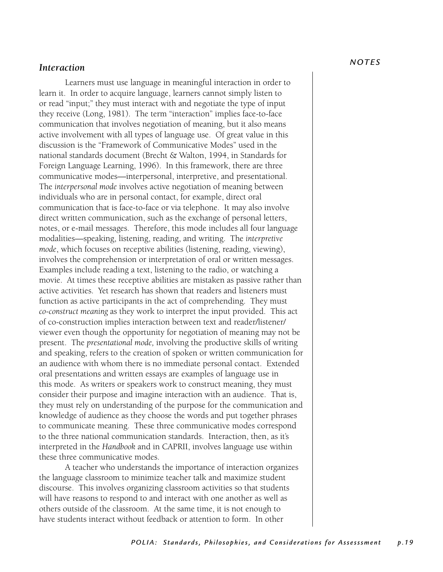#### *Interaction*

Learners must use language in meaningful interaction in order to learn it. In order to acquire language, learners cannot simply listen to or read "input;" they must interact with and negotiate the type of input they receive (Long, 1981). The term "interaction" implies face-to-face communication that involves negotiation of meaning, but it also means active involvement with all types of language use. Of great value in this discussion is the "Framework of Communicative Modes" used in the national standards document (Brecht & Walton, 1994, in Standards for Foreign Language Learning, 1996). In this framework, there are three communicative modes—interpersonal, interpretive, and presentational. The *interpersonal mode* involves active negotiation of meaning between individuals who are in personal contact, for example, direct oral communication that is face-to-face or via telephone. It may also involve direct written communication, such as the exchange of personal letters, notes, or e-mail messages. Therefore, this mode includes all four language modalities—speaking, listening, reading, and writing. The *interpretive mode*, which focuses on receptive abilities (listening, reading, viewing), involves the comprehension or interpretation of oral or written messages. Examples include reading a text, listening to the radio, or watching a movie. At times these receptive abilities are mistaken as passive rather than active activities. Yet research has shown that readers and listeners must function as active participants in the act of comprehending. They must *co-construct meaning* as they work to interpret the input provided. This act of co-construction implies interaction between text and reader/listener/ viewer even though the opportunity for negotiation of meaning may not be present. The *presentational mode,* involving the productive skills of writing and speaking, refers to the creation of spoken or written communication for an audience with whom there is no immediate personal contact. Extended oral presentations and written essays are examples of language use in this mode. As writers or speakers work to construct meaning, they must consider their purpose and imagine interaction with an audience. That is, they must rely on understanding of the purpose for the communication and knowledge of audience as they choose the words and put together phrases to communicate meaning. These three communicative modes correspond to the three national communication standards. Interaction, then, as it's interpreted in the *Handbook* and in CAPRII, involves language use within these three communicative modes.

A teacher who understands the importance of interaction organizes the language classroom to minimize teacher talk and maximize student discourse. This involves organizing classroom activities so that students will have reasons to respond to and interact with one another as well as others outside of the classroom. At the same time, it is not enough to have students interact without feedback or attention to form. In other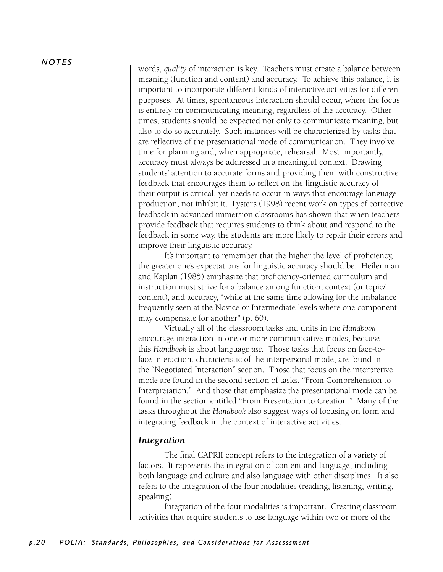#### *N OT E S*

words, *quality* of interaction is key. Teachers must create a balance between meaning (function and content) and accuracy. To achieve this balance, it is important to incorporate different kinds of interactive activities for different purposes. At times, spontaneous interaction should occur, where the focus is entirely on communicating meaning, regardless of the accuracy. Other times, students should be expected not only to communicate meaning, but also to do so accurately. Such instances will be characterized by tasks that are reflective of the presentational mode of communication. They involve time for planning and, when appropriate, rehearsal. Most importantly, accuracy must always be addressed in a meaningful context. Drawing students' attention to accurate forms and providing them with constructive feedback that encourages them to reflect on the linguistic accuracy of their output is critical, yet needs to occur in ways that encourage language production, not inhibit it. Lyster's (1998) recent work on types of corrective feedback in advanced immersion classrooms has shown that when teachers provide feedback that requires students to think about and respond to the feedback in some way, the students are more likely to repair their errors and improve their linguistic accuracy.

It's important to remember that the higher the level of proficiency, the greater one's expectations for linguistic accuracy should be. Heilenman and Kaplan (1985) emphasize that proficiency-oriented curriculum and instruction must strive for a balance among function, context (or topic/ content), and accuracy, "while at the same time allowing for the imbalance frequently seen at the Novice or Intermediate levels where one component may compensate for another" (p. 60).

 Virtually all of the classroom tasks and units in the *Handbook* encourage interaction in one or more communicative modes, because this *Handbook* is about language *use.* Those tasks that focus on face-toface interaction, characteristic of the interpersonal mode, are found in the "Negotiated Interaction" section. Those that focus on the interpretive mode are found in the second section of tasks, "From Comprehension to Interpretation." And those that emphasize the presentational mode can be found in the section entitled "From Presentation to Creation." Many of the tasks throughout the *Handbook* also suggest ways of focusing on form and integrating feedback in the context of interactive activities.

#### *Integration*

 The final CAPRII concept refers to the integration of a variety of factors. It represents the integration of content and language, including both language and culture and also language with other disciplines. It also refers to the integration of the four modalities (reading, listening, writing, speaking).

 Integration of the four modalities is important. Creating classroom activities that require students to use language within two or more of the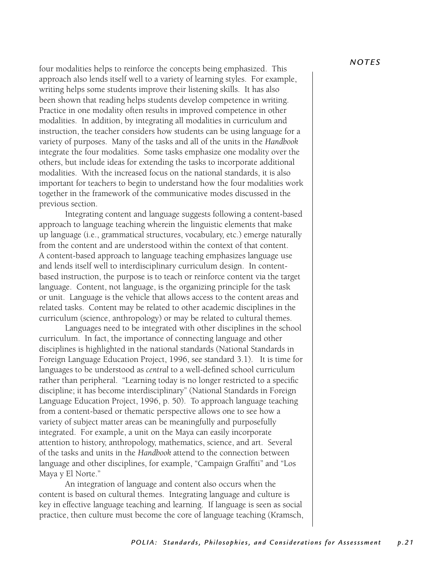four modalities helps to reinforce the concepts being emphasized. This approach also lends itself well to a variety of learning styles. For example, writing helps some students improve their listening skills. It has also been shown that reading helps students develop competence in writing. Practice in one modality often results in improved competence in other modalities. In addition, by integrating all modalities in curriculum and instruction, the teacher considers how students can be using language for a variety of purposes. Many of the tasks and all of the units in the *Handbook* integrate the four modalities. Some tasks emphasize one modality over the others, but include ideas for extending the tasks to incorporate additional modalities. With the increased focus on the national standards, it is also important for teachers to begin to understand how the four modalities work together in the framework of the communicative modes discussed in the previous section.

 Integrating content and language suggests following a content-based approach to language teaching wherein the linguistic elements that make up language (i.e., grammatical structures, vocabulary, etc.) emerge naturally from the content and are understood within the context of that content. A content-based approach to language teaching emphasizes language use and lends itself well to interdisciplinary curriculum design. In contentbased instruction, the purpose is to teach or reinforce content via the target language. Content, not language, is the organizing principle for the task or unit. Language is the vehicle that allows access to the content areas and related tasks. Content may be related to other academic disciplines in the curriculum (science, anthropology) or may be related to cultural themes.

 Languages need to be integrated with other disciplines in the school curriculum. In fact, the importance of connecting language and other disciplines is highlighted in the national standards (National Standards in Foreign Language Education Project, 1996, see standard 3.1). It is time for languages to be understood as *central* to a well-defined school curriculum rather than peripheral. "Learning today is no longer restricted to a specific discipline; it has become interdisciplinary" (National Standards in Foreign Language Education Project, 1996, p. 50). To approach language teaching from a content-based or thematic perspective allows one to see how a variety of subject matter areas can be meaningfully and purposefully integrated. For example, a unit on the Maya can easily incorporate attention to history, anthropology, mathematics, science, and art. Several of the tasks and units in the *Handbook* attend to the connection between language and other disciplines, for example, "Campaign Graffiti" and "Los Maya y El Norte."

 An integration of language and content also occurs when the content is based on cultural themes. Integrating language and culture is key in effective language teaching and learning. If language is seen as social practice, then culture must become the core of language teaching (Kramsch,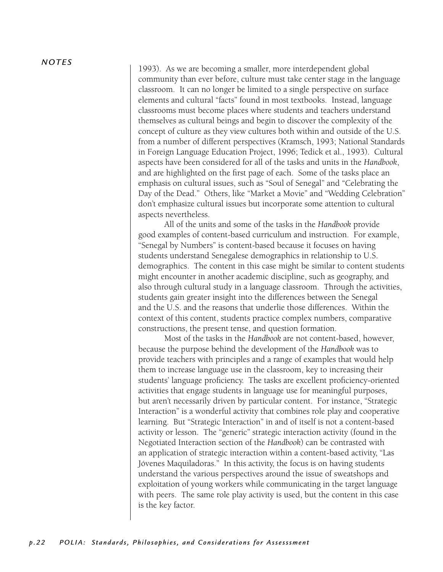#### *N OT E S*

1993). As we are becoming a smaller, more interdependent global community than ever before, culture must take center stage in the language classroom. It can no longer be limited to a single perspective on surface elements and cultural "facts" found in most textbooks. Instead, language classrooms must become places where students and teachers understand themselves as cultural beings and begin to discover the complexity of the concept of culture as they view cultures both within and outside of the U.S. from a number of different perspectives (Kramsch, 1993; National Standards in Foreign Language Education Project, 1996; Tedick et al., 1993). Cultural aspects have been considered for all of the tasks and units in the *Handbook*, and are highlighted on the first page of each. Some of the tasks place an emphasis on cultural issues, such as "Soul of Senegal" and "Celebrating the Day of the Dead." Others, like "Market a Movie" and "Wedding Celebration" don't emphasize cultural issues but incorporate some attention to cultural aspects nevertheless.

All of the units and some of the tasks in the *Handbook* provide good examples of content-based curriculum and instruction. For example, "Senegal by Numbers" is content-based because it focuses on having students understand Senegalese demographics in relationship to U.S. demographics. The content in this case might be similar to content students might encounter in another academic discipline, such as geography, and also through cultural study in a language classroom. Through the activities, students gain greater insight into the differences between the Senegal and the U.S. and the reasons that underlie those differences. Within the context of this content, students practice complex numbers, comparative constructions, the present tense, and question formation.

Most of the tasks in the *Handbook* are not content-based, however, because the purpose behind the development of the *Handbook* was to provide teachers with principles and a range of examples that would help them to increase language use in the classroom, key to increasing their students' language proficiency. The tasks are excellent proficiency-oriented activities that engage students in language use for meaningful purposes, but aren't necessarily driven by particular content. For instance, "Strategic Interaction" is a wonderful activity that combines role play and cooperative learning. But "Strategic Interaction" in and of itself is not a content-based activity or lesson. The "generic" strategic interaction activity (found in the Negotiated Interaction section of the *Handbook*) can be contrasted with an application of strategic interaction within a content-based activity, "Las Jóvenes Maquiladoras." In this activity, the focus is on having students understand the various perspectives around the issue of sweatshops and exploitation of young workers while communicating in the target language with peers. The same role play activity is used, but the content in this case is the key factor.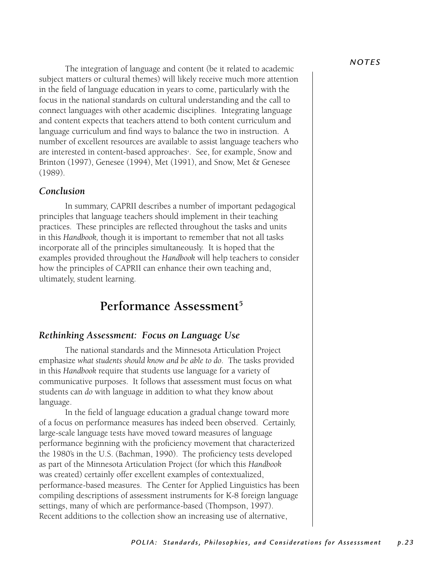The integration of language and content (be it related to academic subject matters or cultural themes) will likely receive much more attention in the field of language education in years to come, particularly with the focus in the national standards on cultural understanding and the call to connect languages with other academic disciplines. Integrating language and content expects that teachers attend to both content curriculum and language curriculum and find ways to balance the two in instruction. A number of excellent resources are available to assist language teachers who are interested in content-based approaches<sup>4</sup>. See, for example, Snow and Brinton (1997), Genesee (1994), Met (1991), and Snow, Met & Genesee (1989).

#### *Conclusion*

In summary, CAPRII describes a number of important pedagogical principles that language teachers should implement in their teaching practices. These principles are reflected throughout the tasks and units in this *Handbook,* though it is important to remember that not all tasks incorporate all of the principles simultaneously. It is hoped that the examples provided throughout the *Handbook* will help teachers to consider how the principles of CAPRII can enhance their own teaching and, ultimately, student learning.

## **Performance Assessment5**

#### *Rethinking Assessment: Focus on Language Use*

 The national standards and the Minnesota Articulation Project emphasize *what students should know and be able to do*. The tasks provided in this *Handbook* require that students use language for a variety of communicative purposes. It follows that assessment must focus on what students can *do* with language in addition to what they know about language.

In the field of language education a gradual change toward more of a focus on performance measures has indeed been observed. Certainly, large-scale language tests have moved toward measures of language performance beginning with the proficiency movement that characterized the 1980's in the U.S. (Bachman, 1990). The proficiency tests developed as part of the Minnesota Articulation Project (for which this *Handbook* was created) certainly offer excellent examples of contextualized, performance-based measures. The Center for Applied Linguistics has been compiling descriptions of assessment instruments for K-8 foreign language settings, many of which are performance-based (Thompson, 1997). Recent additions to the collection show an increasing use of alternative,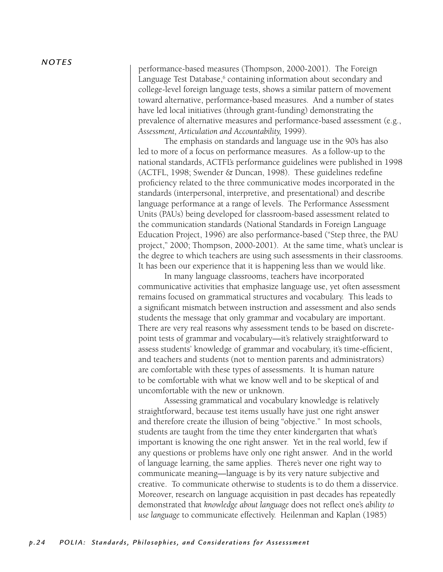performance-based measures (Thompson, 2000-2001). The Foreign Language Test Database,<sup>6</sup> containing information about secondary and college-level foreign language tests, shows a similar pattern of movement toward alternative, performance-based measures. And a number of states have led local initiatives (through grant-funding) demonstrating the prevalence of alternative measures and performance-based assessment (e.g., *Assessment, Articulation and Accountability,* 1999).

The emphasis on standards and language use in the 90's has also led to more of a focus on performance measures. As a follow-up to the national standards, ACTFL's performance guidelines were published in 1998 (ACTFL, 1998; Swender & Duncan, 1998). These guidelines redefine proficiency related to the three communicative modes incorporated in the standards (interpersonal, interpretive, and presentational) and describe language performance at a range of levels. The Performance Assessment Units (PAUs) being developed for classroom-based assessment related to the communication standards (National Standards in Foreign Language Education Project, 1996) are also performance-based ("Step three, the PAU project," 2000; Thompson, 2000-2001). At the same time, what's unclear is the degree to which teachers are using such assessments in their classrooms. It has been our experience that it is happening less than we would like.

In many language classrooms, teachers have incorporated communicative activities that emphasize language use, yet often assessment remains focused on grammatical structures and vocabulary. This leads to a significant mismatch between instruction and assessment and also sends students the message that only grammar and vocabulary are important. There are very real reasons why assessment tends to be based on discretepoint tests of grammar and vocabulary—it's relatively straightforward to assess students' knowledge of grammar and vocabulary, it's time-efficient, and teachers and students (not to mention parents and administrators) are comfortable with these types of assessments. It is human nature to be comfortable with what we know well and to be skeptical of and uncomfortable with the new or unknown.

 Assessing grammatical and vocabulary knowledge is relatively straightforward, because test items usually have just one right answer and therefore create the illusion of being "objective." In most schools, students are taught from the time they enter kindergarten that what's important is knowing the one right answer. Yet in the real world, few if any questions or problems have only one right answer. And in the world of language learning, the same applies. There's never one right way to communicate meaning—language is by its very nature subjective and creative. To communicate otherwise to students is to do them a disservice. Moreover, research on language acquisition in past decades has repeatedly demonstrated that *knowledge about language* does not reflect one's *ability to use language* to communicate effectively. Heilenman and Kaplan (1985)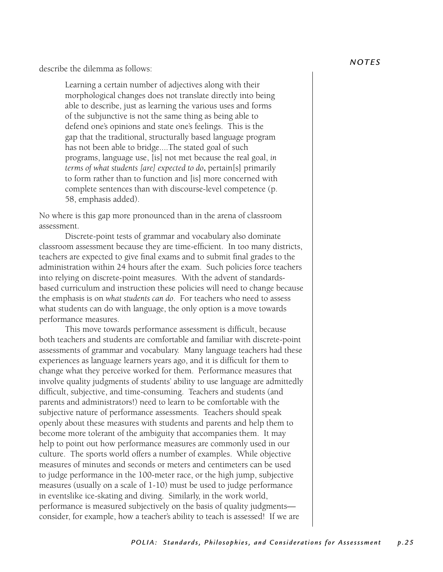describe the dilemma as follows:

Learning a certain number of adjectives along with their morphological changes does not translate directly into being able to describe, just as learning the various uses and forms of the subjunctive is not the same thing as being able to defend one's opinions and state one's feelings. This is the gap that the traditional, structurally based language program has not been able to bridge....The stated goal of such programs, language use, [is] not met because the real goal, *in terms of what students [are] expected to do*, pertain[s] primarily to form rather than to function and [is] more concerned with complete sentences than with discourse-level competence (p. 58, emphasis added).

No where is this gap more pronounced than in the arena of classroom assessment.

 Discrete-point tests of grammar and vocabulary also dominate classroom assessment because they are time-efficient. In too many districts, teachers are expected to give final exams and to submit final grades to the administration within 24 hours after the exam. Such policies force teachers into relying on discrete-point measures. With the advent of standardsbased curriculum and instruction these policies will need to change because the emphasis is on *what students can do*. For teachers who need to assess what students can do with language, the only option is a move towards performance measures.

 This move towards performance assessment is difficult, because both teachers and students are comfortable and familiar with discrete-point assessments of grammar and vocabulary. Many language teachers had these experiences as language learners years ago, and it is difficult for them to change what they perceive worked for them. Performance measures that involve quality judgments of students' ability to use language are admittedly difficult, subjective, and time-consuming. Teachers and students (and parents and administrators!) need to learn to be comfortable with the subjective nature of performance assessments. Teachers should speak openly about these measures with students and parents and help them to become more tolerant of the ambiguity that accompanies them. It may help to point out how performance measures are commonly used in our culture. The sports world offers a number of examples. While objective measures of minutes and seconds or meters and centimeters can be used to judge performance in the 100-meter race, or the high jump, subjective measures (usually on a scale of 1-10) must be used to judge performance in eventslike ice-skating and diving. Similarly, in the work world, performance is measured subjectively on the basis of quality judgments consider, for example, how a teacher's ability to teach is assessed! If we are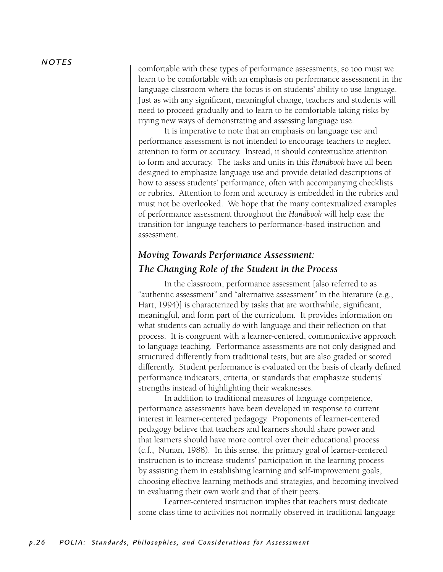comfortable with these types of performance assessments, so too must we learn to be comfortable with an emphasis on performance assessment in the language classroom where the focus is on students' ability to use language. Just as with any significant, meaningful change, teachers and students will need to proceed gradually and to learn to be comfortable taking risks by trying new ways of demonstrating and assessing language use.

 It is imperative to note that an emphasis on language use and performance assessment is not intended to encourage teachers to neglect attention to form or accuracy. Instead, it should contextualize attention to form and accuracy. The tasks and units in this *Handbook* have all been designed to emphasize language use and provide detailed descriptions of how to assess students' performance, often with accompanying checklists or rubrics. Attention to form and accuracy is embedded in the rubrics and must not be overlooked. We hope that the many contextualized examples of performance assessment throughout the *Handbook* will help ease the transition for language teachers to performance-based instruction and assessment.

## *Moving Towards Performance Assessment: The Changing Role of the Student in the Process*

 In the classroom, performance assessment [also referred to as "authentic assessment" and "alternative assessment" in the literature (e.g., Hart, 1994)] is characterized by tasks that are worthwhile, significant, meaningful, and form part of the curriculum. It provides information on what students can actually *do* with language and their reflection on that process. It is congruent with a learner-centered, communicative approach to language teaching. Performance assessments are not only designed and structured differently from traditional tests, but are also graded or scored differently. Student performance is evaluated on the basis of clearly defined performance indicators, criteria, or standards that emphasize students' strengths instead of highlighting their weaknesses.

 In addition to traditional measures of language competence, performance assessments have been developed in response to current interest in learner-centered pedagogy. Proponents of learner-centered pedagogy believe that teachers and learners should share power and that learners should have more control over their educational process (c.f., Nunan, 1988). In this sense, the primary goal of learner-centered instruction is to increase students' participation in the learning process by assisting them in establishing learning and self-improvement goals, choosing effective learning methods and strategies, and becoming involved in evaluating their own work and that of their peers.

 Learner-centered instruction implies that teachers must dedicate some class time to activities not normally observed in traditional language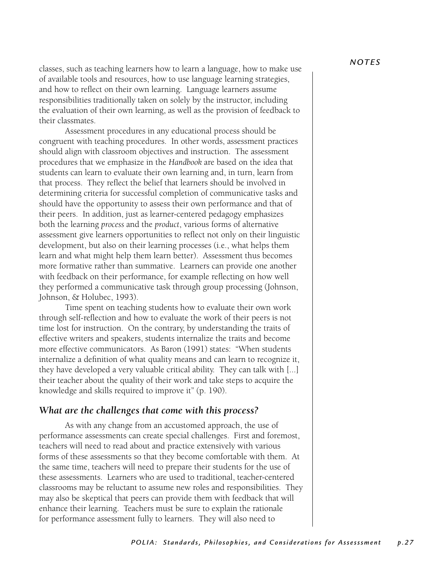classes, such as teaching learners how to learn a language, how to make use of available tools and resources, how to use language learning strategies, and how to reflect on their own learning. Language learners assume responsibilities traditionally taken on solely by the instructor, including the evaluation of their own learning, as well as the provision of feedback to their classmates.

 Assessment procedures in any educational process should be congruent with teaching procedures. In other words, assessment practices should align with classroom objectives and instruction. The assessment procedures that we emphasize in the *Handbook* are based on the idea that students can learn to evaluate their own learning and, in turn, learn from that process. They reflect the belief that learners should be involved in determining criteria for successful completion of communicative tasks and should have the opportunity to assess their own performance and that of their peers. In addition, just as learner-centered pedagogy emphasizes both the learning *process* and the *product*, various forms of alternative assessment give learners opportunities to reflect not only on their linguistic development, but also on their learning processes (i.e., what helps them learn and what might help them learn better). Assessment thus becomes more formative rather than summative. Learners can provide one another with feedback on their performance, for example reflecting on how well they performed a communicative task through group processing (Johnson, Johnson, & Holubec, 1993).

 Time spent on teaching students how to evaluate their own work through self-reflection and how to evaluate the work of their peers is not time lost for instruction. On the contrary, by understanding the traits of effective writers and speakers, students internalize the traits and become more effective communicators. As Baron (1991) states: "When students internalize a definition of what quality means and can learn to recognize it, they have developed a very valuable critical ability. They can talk with [...] their teacher about the quality of their work and take steps to acquire the knowledge and skills required to improve it" (p. 190).

#### *What are the challenges that come with this process?*

 As with any change from an accustomed approach, the use of performance assessments can create special challenges. First and foremost, teachers will need to read about and practice extensively with various forms of these assessments so that they become comfortable with them. At the same time, teachers will need to prepare their students for the use of these assessments. Learners who are used to traditional, teacher-centered classrooms may be reluctant to assume new roles and responsibilities. They may also be skeptical that peers can provide them with feedback that will enhance their learning. Teachers must be sure to explain the rationale for performance assessment fully to learners. They will also need to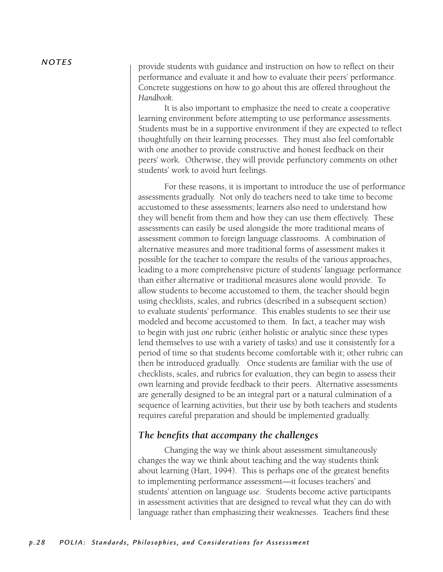provide students with guidance and instruction on how to reflect on their performance and evaluate it and how to evaluate their peers' performance. Concrete suggestions on how to go about this are offered throughout the *Handbook.* 

 It is also important to emphasize the need to create a cooperative learning environment before attempting to use performance assessments. Students must be in a supportive environment if they are expected to reflect thoughtfully on their learning processes. They must also feel comfortable with one another to provide constructive and honest feedback on their peers' work. Otherwise, they will provide perfunctory comments on other students' work to avoid hurt feelings.

 For these reasons, it is important to introduce the use of performance assessments gradually. Not only do teachers need to take time to become accustomed to these assessments; learners also need to understand how they will benefit from them and how they can use them effectively. These assessments can easily be used alongside the more traditional means of assessment common to foreign language classrooms. A combination of alternative measures and more traditional forms of assessment makes it possible for the teacher to compare the results of the various approaches, leading to a more comprehensive picture of students' language performance than either alternative or traditional measures alone would provide. To allow students to become accustomed to them, the teacher should begin using checklists, scales, and rubrics (described in a subsequent section) to evaluate students' performance. This enables students to see their use modeled and become accustomed to them. In fact, a teacher may wish to begin with just *one* rubric (either holistic or analytic since these types lend themselves to use with a variety of tasks) and use it consistently for a period of time so that students become comfortable with it; other rubric can then be introduced gradually. Once students are familiar with the use of checklists, scales, and rubrics for evaluation, they can begin to assess their own learning and provide feedback to their peers. Alternative assessments are generally designed to be an integral part or a natural culmination of a sequence of learning activities, but their use by both teachers and students requires careful preparation and should be implemented gradually.

#### *The benefits that accompany the challenges*

 Changing the way we think about assessment simultaneously changes the way we think about teaching and the way students think about learning (Hart, 1994). This is perhaps one of the greatest benefits to implementing performance assessment—it focuses teachers' and students' attention on language *use*. Students become active participants in assessment activities that are designed to reveal what they can do with language rather than emphasizing their weaknesses. Teachers find these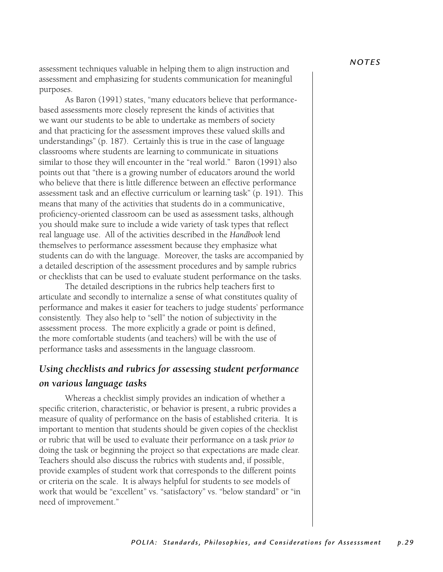assessment techniques valuable in helping them to align instruction and assessment and emphasizing for students communication for meaningful purposes.

 As Baron (1991) states, "many educators believe that performancebased assessments more closely represent the kinds of activities that we want our students to be able to undertake as members of society and that practicing for the assessment improves these valued skills and understandings" (p. 187). Certainly this is true in the case of language classrooms where students are learning to communicate in situations similar to those they will encounter in the "real world." Baron (1991) also points out that "there is a growing number of educators around the world who believe that there is little difference between an effective performance assessment task and an effective curriculum or learning task" (p. 191). This means that many of the activities that students do in a communicative, proficiency-oriented classroom can be used as assessment tasks, although you should make sure to include a wide variety of task types that reflect real language use. All of the activities described in the *Handbook* lend themselves to performance assessment because they emphasize what students can do with the language. Moreover, the tasks are accompanied by a detailed description of the assessment procedures and by sample rubrics or checklists that can be used to evaluate student performance on the tasks.

The detailed descriptions in the rubrics help teachers first to articulate and secondly to internalize a sense of what constitutes quality of performance and makes it easier for teachers to judge students' performance consistently. They also help to "sell" the notion of subjectivity in the assessment process. The more explicitly a grade or point is defined, the more comfortable students (and teachers) will be with the use of performance tasks and assessments in the language classroom.

## *Using checklists and rubrics for assessing student performance on various language tasks*

Whereas a checklist simply provides an indication of whether a specific criterion, characteristic, or behavior is present, a rubric provides a measure of quality of performance on the basis of established criteria. It is important to mention that students should be given copies of the checklist or rubric that will be used to evaluate their performance on a task *prior to* doing the task or beginning the project so that expectations are made clear. Teachers should also discuss the rubrics with students and, if possible, provide examples of student work that corresponds to the different points or criteria on the scale. It is always helpful for students to see models of work that would be "excellent" vs. "satisfactory" vs. "below standard" or "in need of improvement."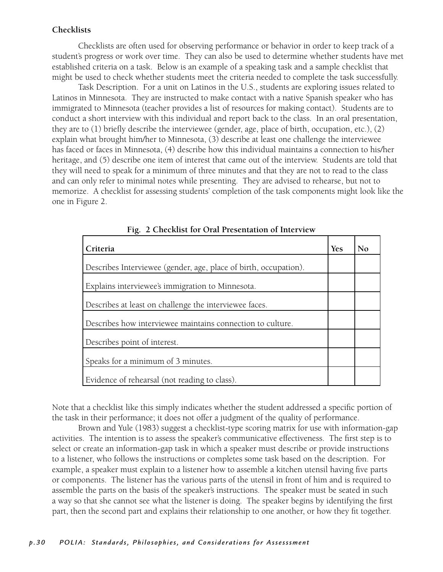#### **Checklists**

 Checklists are often used for observing performance or behavior in order to keep track of a student's progress or work over time. They can also be used to determine whether students have met established criteria on a task. Below is an example of a speaking task and a sample checklist that might be used to check whether students meet the criteria needed to complete the task successfully.

 Task Description. For a unit on Latinos in the U.S., students are exploring issues related to Latinos in Minnesota. They are instructed to make contact with a native Spanish speaker who has immigrated to Minnesota (teacher provides a list of resources for making contact). Students are to conduct a short interview with this individual and report back to the class. In an oral presentation, they are to (1) briefly describe the interviewee (gender, age, place of birth, occupation, etc.), (2) explain what brought him/her to Minnesota, (3) describe at least one challenge the interviewee has faced or faces in Minnesota, (4) describe how this individual maintains a connection to his/her heritage, and (5) describe one item of interest that came out of the interview. Students are told that they will need to speak for a minimum of three minutes and that they are not to read to the class and can only refer to minimal notes while presenting. They are advised to rehearse, but not to memorize. A checklist for assessing students' completion of the task components might look like the one in Figure 2.

| Criteria                                                         | <b>Yes</b> | No |
|------------------------------------------------------------------|------------|----|
| Describes Interviewee (gender, age, place of birth, occupation). |            |    |
| Explains interviewee's immigration to Minnesota.                 |            |    |
| Describes at least on challenge the interviewee faces.           |            |    |
| Describes how interviewee maintains connection to culture.       |            |    |
| Describes point of interest.                                     |            |    |
| Speaks for a minimum of 3 minutes.                               |            |    |
| Evidence of rehearsal (not reading to class).                    |            |    |

**Fig. 2 Checklist for Oral Presentation of Interview**

Note that a checklist like this simply indicates whether the student addressed a specific portion of the task in their performance; it does not offer a judgment of the quality of performance.

 Brown and Yule (1983) suggest a checklist-type scoring matrix for use with information-gap activities. The intention is to assess the speaker's communicative effectiveness. The first step is to select or create an information-gap task in which a speaker must describe or provide instructions to a listener, who follows the instructions or completes some task based on the description. For example, a speaker must explain to a listener how to assemble a kitchen utensil having five parts or components. The listener has the various parts of the utensil in front of him and is required to assemble the parts on the basis of the speaker's instructions. The speaker must be seated in such a way so that she cannot see what the listener is doing. The speaker begins by identifying the first part, then the second part and explains their relationship to one another, or how they fit together.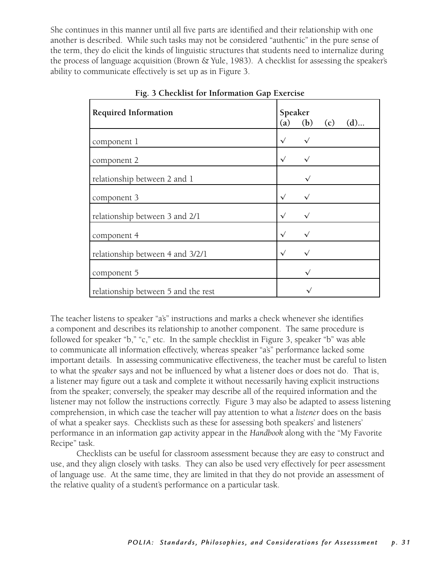She continues in this manner until all five parts are identified and their relationship with one another is described. While such tasks may not be considered "authentic" in the pure sense of the term, they do elicit the kinds of linguistic structures that students need to internalize during the process of language acquisition (Brown & Yule, 1983). A checklist for assessing the speaker's ability to communicate effectively is set up as in Figure 3.

| <b>Required Information</b>         | Speaker<br>(a) | (b)          | (c) | $(d)$ |
|-------------------------------------|----------------|--------------|-----|-------|
| component 1                         | $\sqrt{}$      | $\checkmark$ |     |       |
| component 2                         | $\sqrt{ }$     | $\checkmark$ |     |       |
| relationship between 2 and 1        |                |              |     |       |
| component 3                         | $\checkmark$   | $\checkmark$ |     |       |
| relationship between 3 and 2/1      | $\checkmark$   |              |     |       |
| component 4                         | $\checkmark$   |              |     |       |
| relationship between 4 and 3/2/1    | $\sqrt{ }$     |              |     |       |
| component 5                         |                |              |     |       |
| relationship between 5 and the rest |                |              |     |       |

**Fig. 3 Checklist for Information Gap Exercise**

The teacher listens to speaker "a's" instructions and marks a check whenever she identifies a component and describes its relationship to another component. The same procedure is followed for speaker "b," "c," etc. In the sample checklist in Figure 3, speaker "b" was able to communicate all information effectively, whereas speaker "a's" performance lacked some important details. In assessing communicative effectiveness, the teacher must be careful to listen to what the *speaker* says and not be influenced by what a listener does or does not do. That is, a listener may figure out a task and complete it without necessarily having explicit instructions from the speaker; conversely, the speaker may describe all of the required information and the listener may not follow the instructions correctly. Figure 3 may also be adapted to assess listening comprehension, in which case the teacher will pay attention to what a *listener* does on the basis of what a speaker says. Checklists such as these for assessing both speakers' and listeners' performance in an information gap activity appear in the *Handbook* along with the "My Favorite Recipe" task.

 Checklists can be useful for classroom assessment because they are easy to construct and use, and they align closely with tasks. They can also be used very effectively for peer assessment of language use. At the same time, they are limited in that they do not provide an assessment of the relative quality of a student's performance on a particular task.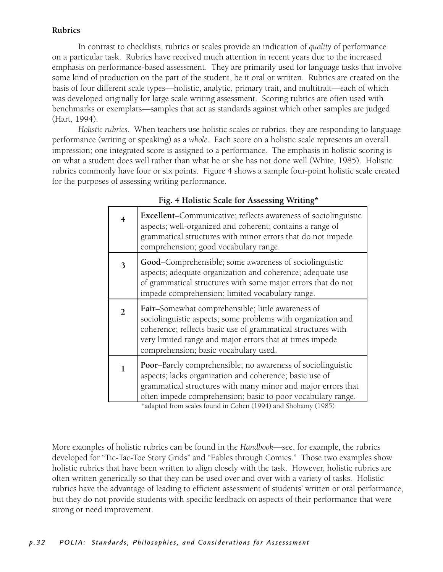#### **Rubrics**

 In contrast to checklists, rubrics or scales provide an indication of *quality* of performance on a particular task. Rubrics have received much attention in recent years due to the increased emphasis on performance-based assessment. They are primarily used for language tasks that involve some kind of production on the part of the student, be it oral or written. Rubrics are created on the basis of four different scale types—holistic, analytic, primary trait, and multitrait—each of which was developed originally for large scale writing assessment. Scoring rubrics are often used with benchmarks or exemplars—samples that act as standards against which other samples are judged (Hart, 1994).

*Holistic rubrics*. When teachers use holistic scales or rubrics, they are responding to language performance (writing or speaking) as a *whole*. Each score on a holistic scale represents an overall impression; one integrated score is assigned to a performance. The emphasis in holistic scoring is on what a student does well rather than what he or she has not done well (White, 1985). Holistic rubrics commonly have four or six points. Figure 4 shows a sample four-point holistic scale created for the purposes of assessing writing performance.

| 4 | <b>Excellent-Communicative</b> ; reflects awareness of sociolinguistic<br>aspects; well-organized and coherent; contains a range of<br>grammatical structures with minor errors that do not impede<br>comprehension; good vocabulary range.                                             |
|---|-----------------------------------------------------------------------------------------------------------------------------------------------------------------------------------------------------------------------------------------------------------------------------------------|
| 3 | Good–Comprehensible; some awareness of sociolinguistic<br>aspects; adequate organization and coherence; adequate use<br>of grammatical structures with some major errors that do not<br>impede comprehension; limited vocabulary range.                                                 |
| 2 | Fair-Somewhat comprehensible; little awareness of<br>sociolinguistic aspects; some problems with organization and<br>coherence; reflects basic use of grammatical structures with<br>very limited range and major errors that at times impede<br>comprehension; basic vocabulary used.  |
|   | Poor-Barely comprehensible; no awareness of sociolinguistic<br>aspects; lacks organization and coherence; basic use of<br>grammatical structures with many minor and major errors that<br>often impede comprehension; basic to poor vocabulary range.<br>$*$ 1 (1004) 1 (1004) 1 (1007) |

#### **Fig. 4 Holistic Scale for Assessing Writing\***

\*adapted from scales found in Cohen (1994) and Shohamy (1985)

More examples of holistic rubrics can be found in the *Handbook*—see, for example, the rubrics developed for "Tic-Tac-Toe Story Grids" and "Fables through Comics." Those two examples show holistic rubrics that have been written to align closely with the task. However, holistic rubrics are often written generically so that they can be used over and over with a variety of tasks. Holistic rubrics have the advantage of leading to efficient assessment of students' written or oral performance, but they do not provide students with specific feedback on aspects of their performance that were strong or need improvement.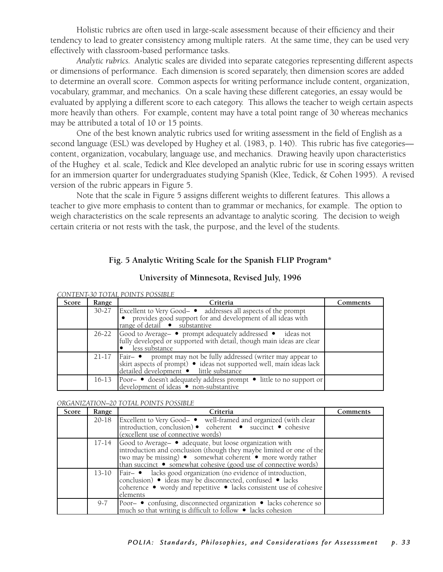Holistic rubrics are often used in large-scale assessment because of their efficiency and their tendency to lead to greater consistency among multiple raters. At the same time, they can be used very effectively with classroom-based performance tasks.

*Analytic rubrics.* Analytic scales are divided into separate categories representing different aspects or dimensions of performance. Each dimension is scored separately, then dimension scores are added to determine an overall score. Common aspects for writing performance include content, organization, vocabulary, grammar, and mechanics. On a scale having these different categories, an essay would be evaluated by applying a different score to each category. This allows the teacher to weigh certain aspects more heavily than others. For example, content may have a total point range of 30 whereas mechanics may be attributed a total of 10 or 15 points.

 One of the best known analytic rubrics used for writing assessment in the field of English as a second language (ESL) was developed by Hughey et al. (1983, p. 140). This rubric has five categories content, organization, vocabulary, language use, and mechanics. Drawing heavily upon characteristics of the Hughey et al. scale, Tedick and Klee developed an analytic rubric for use in scoring essays written for an immersion quarter for undergraduates studying Spanish (Klee, Tedick, & Cohen 1995). A revised version of the rubric appears in Figure 5.

 Note that the scale in Figure 5 assigns different weights to different features. This allows a teacher to give more emphasis to content than to grammar or mechanics, for example. The option to weigh characteristics on the scale represents an advantage to analytic scoring. The decision to weigh certain criteria or not rests with the task, the purpose, and the level of the students.

#### **Fig. 5 Analytic Writing Scale for the Spanish FLIP Program\***

| Score | Range     | Criteria                                                                                                                                                                        | Comments |
|-------|-----------|---------------------------------------------------------------------------------------------------------------------------------------------------------------------------------|----------|
|       | $30 - 27$ | Excellent to Very Good- $\bullet$ addresses all aspects of the prompt<br>$\bullet$ provides good support for and development of all ideas with<br>range of detail • substantive |          |
|       |           | 26-22 Good to Average → prompt adequately addressed • ideas not<br>fully developed or supported with detail, though main ideas are clear<br>less substance                      |          |
|       | $21-17$   | Fair- • prompt may not be fully addressed (writer may appear to skirt aspects of prompt) • ideas not supported well, main ideas lack detailed development • little substance    |          |
|       | 16-13     | Poor- ● doesn't adequately address prompt ● little to no support or<br>development of ideas • non-substantive                                                                   |          |

#### **University of Minnesota, Revised July, 1996**

#### *CONTENT-30 TOTAL POINTS POSSIBLE*

#### *ORGANIZATION–20 TOTAL POINTS POSSIBLE*

| Score | Range | Criteria                                                                                                                                                                                                                                                                 | Comments |
|-------|-------|--------------------------------------------------------------------------------------------------------------------------------------------------------------------------------------------------------------------------------------------------------------------------|----------|
|       |       | 20-18 Excellent to Very Good- • well-framed and organized (with clear<br>introduction, conclusion) • coherent • succinct • cohesive<br>(excellent use of connective words)                                                                                               |          |
|       |       | 17-14 Good to Average ► adequate, but loose organization with<br>introduction and conclusion (though they maybe limited or one of the<br>two may be missing) • somewhat coherent • more wordy rather<br>than succinct ● somewhat cohesive (good use of connective words) |          |
|       |       | 13-10   Fair- · lacks good organization (no evidence of introduction,<br>conclusion) • ideas may be disconnected, confused • lacks<br>coherence • wordy and repetitive • lacks consistent use of cohesive<br>elements                                                    |          |
|       | 9-7   | Poor- ● confusing, disconnected organization ● lacks coherence so much so that writing is difficult to follow ● lacks cohesion                                                                                                                                           |          |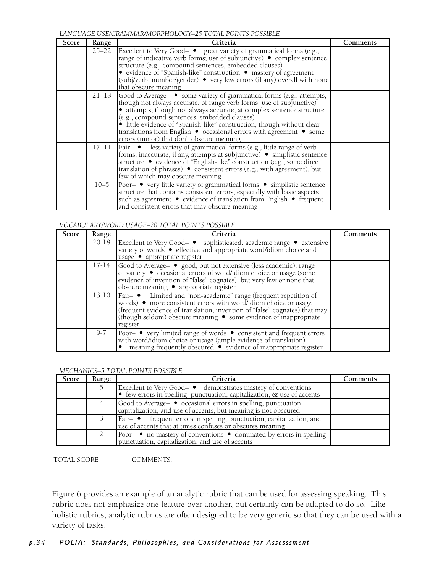*LANGUAGE USE/GRAMMAR/MORPHOLOGY–25 TOTAL POINTS POSSIBLE*

| Score | Range     | Criteria                                                                                                                                                                                                                                                                                                                                                                                                                                                            | Comments |
|-------|-----------|---------------------------------------------------------------------------------------------------------------------------------------------------------------------------------------------------------------------------------------------------------------------------------------------------------------------------------------------------------------------------------------------------------------------------------------------------------------------|----------|
|       | $25 - 22$ | Excellent to Very Good- ● great variety of grammatical forms (e.g.,<br>range of indicative verb forms; use of subjunctive) ● complex sentence<br>structure (e.g., compound sentences, embedded clauses)<br>• evidence of "Spanish-like" construction • mastery of agreement<br>(subj/verb; number/gender) • very few errors (if any) overall with none<br>that obscure meaning                                                                                      |          |
|       | 21–18     | Good to Average ► some variety of grammatical forms (e.g., attempts,<br>though not always accurate, of range verb forms, use of subjunctive)<br>• attempts, though not always accurate, at complex sentence structure<br>(e.g., compound sentences, embedded clauses)<br>• little evidence of "Spanish-like" construction, though without clear<br>translations from English ● occasional errors with agreement ● some<br>errors (minor) that don't obscure meaning |          |
|       | $17 - 11$ | Fair- ● less variety of grammatical forms (e.g., little range of verb<br>forms; inaccurate, if any, attempts at subjunctive) • simplistic sentence<br>structure • evidence of "English-like" construction (e.g., some direct<br>translation of phrases) • consistent errors (e.g., with agreement), but<br>few of which may obscure meaning                                                                                                                         |          |
|       | $10 - 5$  | Poor- ● very little variety of grammatical forms ● simplistic sentence<br>structure that contains consistent errors, especially with basic aspects<br>such as agreement • evidence of translation from English • frequent<br>and consistent errors that may obscure meaning                                                                                                                                                                                         |          |

#### *VOCABULARY/WORD USAGE–20 TOTAL POINTS POSSIBLE*

| Score | Range   | Criteria                                                                                                                                                                                                                                                                                          | Comments |
|-------|---------|---------------------------------------------------------------------------------------------------------------------------------------------------------------------------------------------------------------------------------------------------------------------------------------------------|----------|
|       | 20-18   | Excellent to Very Good- ● sophisticated, academic range ● extensive<br>variety of words · effective and appropriate word/idiom choice and<br>usage · appropriate register                                                                                                                         |          |
|       | 17-14   | Good to Average- • good, but not extensive (less academic), range<br>or variety • occasional errors of word/idiom choice or usage (some<br>evidence of invention of "false" cognates), but very few or none that<br>obscure meaning • appropriate register                                        |          |
|       | 13-10   | Fair- ● Limited and "non-academic" range (frequent repetition of<br>words) • more consistent errors with word/idiom choice or usage<br>(frequent evidence of translation; invention of "false" cognates) that may<br>(though seldom) obscure meaning • some evidence of inappropriate<br>register |          |
|       | $9 - 7$ | Poor- ● very limited range of words ● consistent and frequent errors<br>with word/idiom choice or usage (ample evidence of translation)<br>• meaning frequently obscured • evidence of inappropriate register                                                                                     |          |

#### *MECHANICS–5 TOTAL POINTS POSSIBLE*

| Score | Range | Criteria                                                                                                                                            | Comments |
|-------|-------|-----------------------------------------------------------------------------------------------------------------------------------------------------|----------|
|       |       | Excellent to Very Good- ● demonstrates mastery of conventions<br>$\bullet$ few errors in spelling, punctuation, capitalization, $\&$ use of accents |          |
|       |       | Good to Average → occasional errors in spelling, punctuation,<br>capitalization, and use of accents, but meaning is not obscured                    |          |
|       |       | Fair- ● frequent errors in spelling, punctuation, capitalization, and<br>use of accents that at times confuses or obscures meaning                  |          |
|       |       | Poor- $\bullet$ no mastery of conventions $\bullet$ dominated by errors in spelling,<br>punctuation, capitalization, and use of accents             |          |

TOTAL SCORE COMMENTS:

Figure 6 provides an example of an analytic rubric that can be used for assessing speaking. This rubric does not emphasize one feature over another, but certainly can be adapted to do so. Like holistic rubrics, analytic rubrics are often designed to be very generic so that they can be used with a variety of tasks.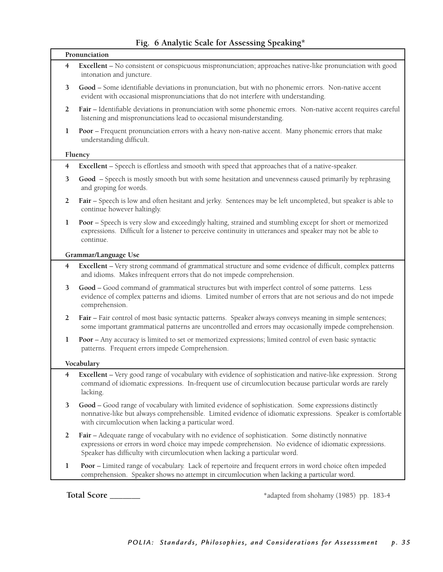#### **Fig. 6 Analytic Scale for Assessing Speaking\***

|                | Pronunciation                                                                                                                                                                                                                                                                           |
|----------------|-----------------------------------------------------------------------------------------------------------------------------------------------------------------------------------------------------------------------------------------------------------------------------------------|
| $\overline{4}$ | Excellent - No consistent or conspicuous mispronunciation; approaches native-like pronunciation with good<br>intonation and juncture.                                                                                                                                                   |
| 3              | Good - Some identifiable deviations in pronunciation, but with no phonemic errors. Non-native accent<br>evident with occasional mispronunciations that do not interfere with understanding.                                                                                             |
| 2              | Fair - Identifiable deviations in pronunciation with some phonemic errors. Non-native accent requires careful<br>listening and mispronunciations lead to occasional misunderstanding.                                                                                                   |
| $\mathbf 1$    | Poor - Frequent pronunciation errors with a heavy non-native accent. Many phonemic errors that make<br>understanding difficult.                                                                                                                                                         |
|                | Fluency                                                                                                                                                                                                                                                                                 |
| $\overline{4}$ | Excellent - Speech is effortless and smooth with speed that approaches that of a native-speaker.                                                                                                                                                                                        |
| 3              | Good - Speech is mostly smooth but with some hesitation and unevenness caused primarily by rephrasing<br>and groping for words.                                                                                                                                                         |
| $\overline{2}$ | Fair - Speech is low and often hesitant and jerky. Sentences may be left uncompleted, but speaker is able to<br>continue however haltingly.                                                                                                                                             |
| 1              | Poor - Speech is very slow and exceedingly halting, strained and stumbling except for short or memorized<br>expressions. Difficult for a listener to perceive continuity in utterances and speaker may not be able to<br>continue.                                                      |
|                | Grammar/Language Use                                                                                                                                                                                                                                                                    |
| $\overline{4}$ | Excellent - Very strong command of grammatical structure and some evidence of difficult, complex patterns<br>and idioms. Makes infrequent errors that do not impede comprehension.                                                                                                      |
| 3              | Good - Good command of grammatical structures but with imperfect control of some patterns. Less<br>evidence of complex patterns and idioms. Limited number of errors that are not serious and do not impede<br>comprehension.                                                           |
| $\overline{2}$ | Fair - Fair control of most basic syntactic patterns. Speaker always conveys meaning in simple sentences;<br>some important grammatical patterns are uncontrolled and errors may occasionally impede comprehension.                                                                     |
| 1              | <b>Poor</b> - Any accuracy is limited to set or memorized expressions; limited control of even basic syntactic<br>patterns. Frequent errors impede Comprehension.                                                                                                                       |
|                | Vocabulary                                                                                                                                                                                                                                                                              |
|                | Excellent - Very good range of vocabulary with evidence of sophistication and native-like expression. Strong<br>command of idiomatic expressions. In-frequent use of circumlocution because particular words are rarely<br>lacking.                                                     |
| 3              | Good - Good range of vocabulary with limited evidence of sophistication. Some expressions distinctly<br>nonnative-like but always comprehensible. Limited evidence of idiomatic expressions. Speaker is comfortable<br>with circumlocution when lacking a particular word.              |
| $\overline{2}$ | Fair - Adequate range of vocabulary with no evidence of sophistication. Some distinctly nonnative<br>expressions or errors in word choice may impede comprehension. No evidence of idiomatic expressions.<br>Speaker has difficulty with circumlocution when lacking a particular word. |
| $\mathbf{1}$   | Poor - Limited range of vocabulary. Lack of repertoire and frequent errors in word choice often impeded<br>comprehension. Speaker shows no attempt in circumlocution when lacking a particular word.                                                                                    |

Total Score \_\_\_\_\_\_\_\_ **Total Score** \_\_\_\_\_\_\_ \*adapted from shohamy (1985) pp. 183-4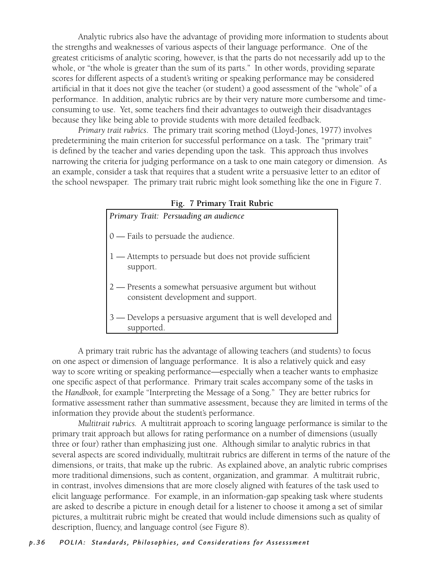Analytic rubrics also have the advantage of providing more information to students about the strengths and weaknesses of various aspects of their language performance. One of the greatest criticisms of analytic scoring, however, is that the parts do not necessarily add up to the whole, or "the whole is greater than the sum of its parts." In other words, providing separate scores for different aspects of a student's writing or speaking performance may be considered artificial in that it does not give the teacher (or student) a good assessment of the "whole" of a performance. In addition, analytic rubrics are by their very nature more cumbersome and timeconsuming to use. Yet, some teachers find their advantages to outweigh their disadvantages because they like being able to provide students with more detailed feedback.

*Primary trait rubrics*. The primary trait scoring method (Lloyd-Jones, 1977) involves predetermining the main criterion for successful performance on a task. The "primary trait" is defined by the teacher and varies depending upon the task. This approach thus involves narrowing the criteria for judging performance on a task to one main category or dimension. As an example, consider a task that requires that a student write a persuasive letter to an editor of the school newspaper. The primary trait rubric might look something like the one in Figure 7.

| Primary Trait: Persuading an audience                                                          |
|------------------------------------------------------------------------------------------------|
| $0$ — Fails to persuade the audience.                                                          |
| 1 — Attempts to persuade but does not provide sufficient<br>support.                           |
| 2 — Presents a somewhat persuasive argument but without<br>consistent development and support. |
| 3 — Develops a persuasive argument that is well developed and<br>supported.                    |

**Fig. 7 Primary Trait Rubric**

A primary trait rubric has the advantage of allowing teachers (and students) to focus on one aspect or dimension of language performance. It is also a relatively quick and easy way to score writing or speaking performance—especially when a teacher wants to emphasize one specific aspect of that performance. Primary trait scales accompany some of the tasks in the *Handbook*, for example "Interpreting the Message of a Song." They are better rubrics for formative assessment rather than summative assessment, because they are limited in terms of the information they provide about the student's performance.

*Multitrait rubrics.* A multitrait approach to scoring language performance is similar to the primary trait approach but allows for rating performance on a number of dimensions (usually three or four) rather than emphasizing just one. Although similar to analytic rubrics in that several aspects are scored individually, multitrait rubrics are different in terms of the nature of the dimensions, or traits, that make up the rubric. As explained above, an analytic rubric comprises more traditional dimensions, such as content, organization, and grammar. A multitrait rubric, in contrast, involves dimensions that are more closely aligned with features of the task used to elicit language performance. For example, in an information-gap speaking task where students are asked to describe a picture in enough detail for a listener to choose it among a set of similar pictures, a multitrait rubric might be created that would include dimensions such as quality of description, fluency, and language control (see Figure 8).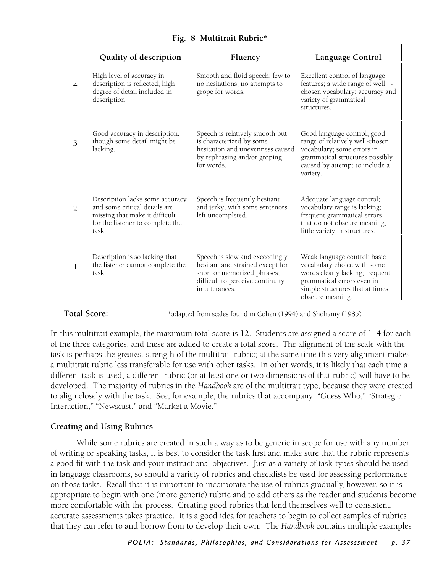|                | Quality of description                                                                                                                          | Fluency                                                                                                                                                 | Language Control                                                                                                                                                                    |
|----------------|-------------------------------------------------------------------------------------------------------------------------------------------------|---------------------------------------------------------------------------------------------------------------------------------------------------------|-------------------------------------------------------------------------------------------------------------------------------------------------------------------------------------|
| $\overline{4}$ | High level of accuracy in<br>description is reflected; high<br>degree of detail included in<br>description.                                     | Smooth and fluid speech; few to<br>no hesitations; no attempts to<br>grope for words.                                                                   | Excellent control of language<br>features; a wide range of well -<br>chosen vocabulary; accuracy and<br>variety of grammatical<br>structures.                                       |
| 3              | Good accuracy in description,<br>though some detail might be<br>lacking.                                                                        | Speech is relatively smooth but<br>is characterized by some<br>hesitation and unevenness caused<br>by rephrasing and/or groping<br>for words.           | Good language control; good<br>range of relatively well-chosen<br>vocabulary; some errors in<br>grammatical structures possibly<br>caused by attempt to include a<br>variety.       |
| $\mathcal{D}$  | Description lacks some accuracy<br>and some critical details are<br>missing that make it difficult<br>for the listener to complete the<br>task. | Speech is frequently hesitant<br>and jerky, with some sentences<br>left uncompleted.                                                                    | Adequate language control;<br>vocabulary range is lacking;<br>frequent grammatical errors<br>that do not obscure meaning;<br>little variety in structures.                          |
| 1              | Description is so lacking that<br>the listener cannot complete the<br>task.                                                                     | Speech is slow and exceedingly<br>hesitant and strained except for<br>short or memorized phrases;<br>difficult to perceive continuity<br>in utterances. | Weak language control; basic<br>vocabulary choice with some<br>words clearly lacking; frequent<br>grammatical errors even in<br>simple structures that at times<br>obscure meaning. |

Total Score: \_\_\_\_\_\_\_ \*adapted from scales found in Cohen (1994) and Shohamy (1985)

In this multitrait example, the maximum total score is 12. Students are assigned a score of 1–4 for each of the three categories, and these are added to create a total score. The alignment of the scale with the task is perhaps the greatest strength of the multitrait rubric; at the same time this very alignment makes a multitrait rubric less transferable for use with other tasks. In other words, it is likely that each time a different task is used, a different rubric (or at least one or two dimensions of that rubric) will have to be developed. The majority of rubrics in the *Handbook* are of the multitrait type, because they were created to align closely with the task. See, for example, the rubrics that accompany "Guess Who," "Strategic Interaction," "Newscast," and "Market a Movie."

#### **Creating and Using Rubrics**

 While some rubrics are created in such a way as to be generic in scope for use with any number of writing or speaking tasks, it is best to consider the task first and make sure that the rubric represents a good fit with the task and your instructional objectives. Just as a variety of task-types should be used in language classrooms, so should a variety of rubrics and checklists be used for assessing performance on those tasks. Recall that it is important to incorporate the use of rubrics gradually, however, so it is appropriate to begin with one (more generic) rubric and to add others as the reader and students become more comfortable with the process. Creating good rubrics that lend themselves well to consistent, accurate assessments takes practice. It is a good idea for teachers to begin to collect samples of rubrics that they can refer to and borrow from to develop their own. The *Handbook* contains multiple examples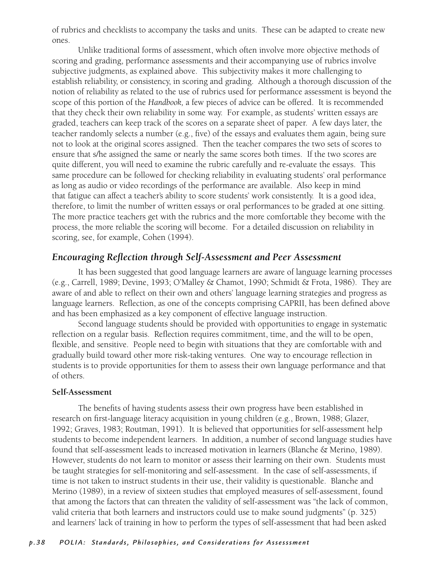of rubrics and checklists to accompany the tasks and units. These can be adapted to create new ones.

 Unlike traditional forms of assessment, which often involve more objective methods of scoring and grading, performance assessments and their accompanying use of rubrics involve subjective judgments, as explained above. This subjectivity makes it more challenging to establish reliability, or consistency, in scoring and grading. Although a thorough discussion of the notion of reliability as related to the use of rubrics used for performance assessment is beyond the scope of this portion of the *Handbook,* a few pieces of advice can be offered. It is recommended that they check their own reliability in some way. For example, as students' written essays are graded, teachers can keep track of the scores on a separate sheet of paper. A few days later, the teacher randomly selects a number (e.g., five) of the essays and evaluates them again, being sure not to look at the original scores assigned. Then the teacher compares the two sets of scores to ensure that s/he assigned the same or nearly the same scores both times. If the two scores are quite different, you will need to examine the rubric carefully and re-evaluate the essays. This same procedure can be followed for checking reliability in evaluating students' oral performance as long as audio or video recordings of the performance are available. Also keep in mind that fatigue can affect a teacher's ability to score students' work consistently. It is a good idea, therefore, to limit the number of written essays or oral performances to be graded at one sitting. The more practice teachers get with the rubrics and the more comfortable they become with the process, the more reliable the scoring will become. For a detailed discussion on reliability in scoring, see, for example, Cohen (1994).

### *Encouraging Reflection through Self-Assessment and Peer Assessment*

 It has been suggested that good language learners are aware of language learning processes (e.g., Carrell, 1989; Devine, 1993; O'Malley & Chamot, 1990; Schmidt & Frota, 1986). They are aware of and able to reflect on their own and others' language learning strategies and progress as language learners. Reflection, as one of the concepts comprising CAPRII, has been defined above and has been emphasized as a key component of effective language instruction.

 Second language students should be provided with opportunities to engage in systematic reflection on a regular basis. Reflection requires commitment, time, and the will to be open, flexible, and sensitive. People need to begin with situations that they are comfortable with and gradually build toward other more risk-taking ventures. One way to encourage reflection in students is to provide opportunities for them to assess their own language performance and that of others.

#### **Self-Assessment**

The benefits of having students assess their own progress have been established in research on first-language literacy acquisition in young children (e.g., Brown, 1988; Glazer, 1992; Graves, 1983; Routman, 1991). It is believed that opportunities for self-assessment help students to become independent learners. In addition, a number of second language studies have found that self-assessment leads to increased motivation in learners (Blanche & Merino, 1989). However, students do not learn to monitor or assess their learning on their own. Students must be taught strategies for self-monitoring and self-assessment. In the case of self-assessments, if time is not taken to instruct students in their use, their validity is questionable. Blanche and Merino (1989), in a review of sixteen studies that employed measures of self-assessment, found that among the factors that can threaten the validity of self-assessment was "the lack of common, valid criteria that both learners and instructors could use to make sound judgments" (p. 325) and learners' lack of training in how to perform the types of self-assessment that had been asked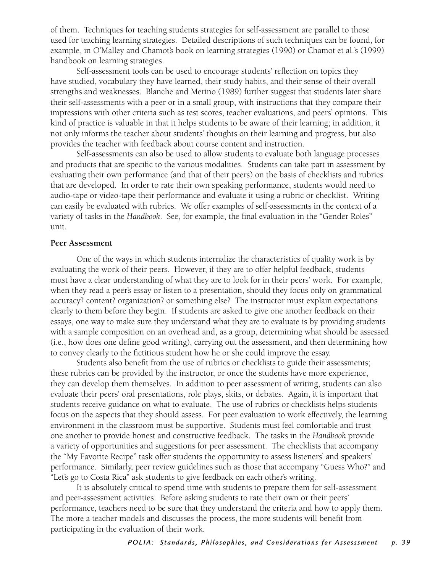of them. Techniques for teaching students strategies for self-assessment are parallel to those used for teaching learning strategies. Detailed descriptions of such techniques can be found, for example, in O'Malley and Chamot's book on learning strategies (1990) or Chamot et al.'s (1999) handbook on learning strategies.

 Self-assessment tools can be used to encourage students' reflection on topics they have studied, vocabulary they have learned, their study habits, and their sense of their overall strengths and weaknesses. Blanche and Merino (1989) further suggest that students later share their self-assessments with a peer or in a small group, with instructions that they compare their impressions with other criteria such as test scores, teacher evaluations, and peers' opinions. This kind of practice is valuable in that it helps students to be aware of their learning; in addition, it not only informs the teacher about students' thoughts on their learning and progress, but also provides the teacher with feedback about course content and instruction.

 Self-assessments can also be used to allow students to evaluate both language processes and products that are specific to the various modalities. Students can take part in assessment by evaluating their own performance (and that of their peers) on the basis of checklists and rubrics that are developed. In order to rate their own speaking performance, students would need to audio-tape or video-tape their performance and evaluate it using a rubric or checklist. Writing can easily be evaluated with rubrics. We offer examples of self-assessments in the context of a variety of tasks in the *Handbook*. See, for example, the final evaluation in the "Gender Roles" unit.

#### **Peer Assessment**

 One of the ways in which students internalize the characteristics of quality work is by evaluating the work of their peers. However, if they are to offer helpful feedback, students must have a clear understanding of what they are to look for in their peers' work. For example, when they read a peer's essay or listen to a presentation, should they focus only on grammatical accuracy? content? organization? or something else? The instructor must explain expectations clearly to them before they begin. If students are asked to give one another feedback on their essays, one way to make sure they understand what they are to evaluate is by providing students with a sample composition on an overhead and, as a group, determining what should be assessed (i.e., how does one define good writing), carrying out the assessment, and then determining how to convey clearly to the fictitious student how he or she could improve the essay.

 Students also benefit from the use of rubrics or checklists to guide their assessments; these rubrics can be provided by the instructor, or once the students have more experience, they can develop them themselves. In addition to peer assessment of writing, students can also evaluate their peers' oral presentations, role plays, skits, or debates. Again, it is important that students receive guidance on what to evaluate. The use of rubrics or checklists helps students focus on the aspects that they should assess. For peer evaluation to work effectively, the learning environment in the classroom must be supportive. Students must feel comfortable and trust one another to provide honest and constructive feedback. The tasks in the *Handbook* provide a variety of opportunities and suggestions for peer assessment. The checklists that accompany the "My Favorite Recipe" task offer students the opportunity to assess listeners' and speakers' performance. Similarly, peer review guidelines such as those that accompany "Guess Who?" and "Let's go to Costa Rica" ask students to give feedback on each other's writing.

 It is absolutely critical to spend time with students to prepare them for self-assessment and peer-assessment activities. Before asking students to rate their own or their peers' performance, teachers need to be sure that they understand the criteria and how to apply them. The more a teacher models and discusses the process, the more students will benefit from participating in the evaluation of their work.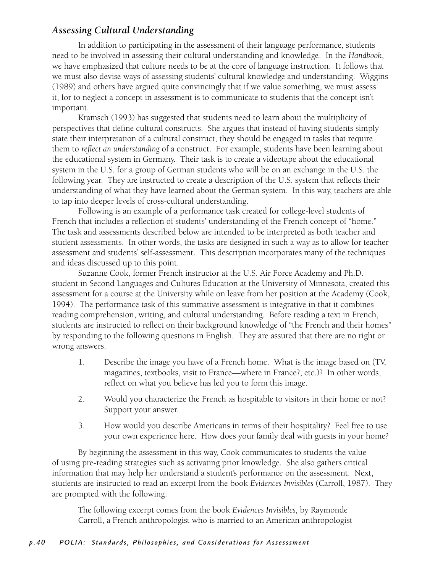## *Assessing Cultural Understanding*

 In addition to participating in the assessment of their language performance, students need to be involved in assessing their cultural understanding and knowledge. In the *Handbook*, we have emphasized that culture needs to be at the core of language instruction. It follows that we must also devise ways of assessing students' cultural knowledge and understanding. Wiggins (1989) and others have argued quite convincingly that if we value something, we must assess it, for to neglect a concept in assessment is to communicate to students that the concept isn't important.

 Kramsch (1993) has suggested that students need to learn about the multiplicity of perspectives that define cultural constructs. She argues that instead of having students simply state their interpretation of a cultural construct, they should be engaged in tasks that require them to *reflect an understanding* of a construct. For example, students have been learning about the educational system in Germany. Their task is to create a videotape about the educational system in the U.S. for a group of German students who will be on an exchange in the U.S. the following year. They are instructed to create a description of the U.S. system that reflects their understanding of what they have learned about the German system. In this way, teachers are able to tap into deeper levels of cross-cultural understanding.

 Following is an example of a performance task created for college-level students of French that includes a reflection of students' understanding of the French concept of "home." The task and assessments described below are intended to be interpreted as both teacher and student assessments. In other words, the tasks are designed in such a way as to allow for teacher assessment and students' self-assessment. This description incorporates many of the techniques and ideas discussed up to this point.

 Suzanne Cook, former French instructor at the U.S. Air Force Academy and Ph.D. student in Second Languages and Cultures Education at the University of Minnesota, created this assessment for a course at the University while on leave from her position at the Academy (Cook, 1994). The performance task of this summative assessment is integrative in that it combines reading comprehension, writing, and cultural understanding. Before reading a text in French, students are instructed to reflect on their background knowledge of "the French and their homes" by responding to the following questions in English. They are assured that there are no right or wrong answers.

- 1. Describe the image you have of a French home. What is the image based on (TV, magazines, textbooks, visit to France—where in France?, etc.)? In other words, reflect on what you believe has led you to form this image.
- 2. Would you characterize the French as hospitable to visitors in their home or not? Support your answer.
- 3. How would you describe Americans in terms of their hospitality? Feel free to use your own experience here. How does your family deal with guests in your home?

 By beginning the assessment in this way, Cook communicates to students the value of using pre-reading strategies such as activating prior knowledge. She also gathers critical information that may help her understand a student's performance on the assessment. Next, students are instructed to read an excerpt from the book *Evidences Invisibles* (Carroll, 1987). They are prompted with the following:

The following excerpt comes from the book *Evidences Invisibles,* by Raymonde Carroll, a French anthropologist who is married to an American anthropologist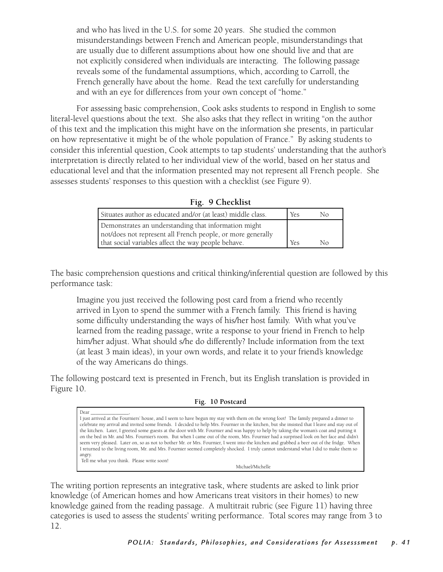and who has lived in the U.S. for some 20 years. She studied the common misunderstandings between French and American people, misunderstandings that are usually due to different assumptions about how one should live and that are not explicitly considered when individuals are interacting. The following passage reveals some of the fundamental assumptions, which, according to Carroll, the French generally have about the home. Read the text carefully for understanding and with an eye for differences from your own concept of "home."

 For assessing basic comprehension, Cook asks students to respond in English to some literal-level questions about the text. She also asks that they reflect in writing "on the author of this text and the implication this might have on the information she presents, in particular on how representative it might be of the whole population of France." By asking students to consider this inferential question, Cook attempts to tap students' understanding that the author's interpretation is directly related to her individual view of the world, based on her status and educational level and that the information presented may not represent all French people. She assesses students' responses to this question with a checklist (see Figure 9).

|  | Fig. |  | 9 Checklist |
|--|------|--|-------------|
|--|------|--|-------------|

| Situates author as educated and/or (at least) middle class. | <b>Yes</b> | Nο |
|-------------------------------------------------------------|------------|----|
| Demonstrates an understanding that information might        |            |    |
| not/does not represent all French people, or more generally |            |    |
| that social variables affect the way people behave.         | <b>Yes</b> | Nο |

The basic comprehension questions and critical thinking/inferential question are followed by this performance task:

Imagine you just received the following post card from a friend who recently arrived in Lyon to spend the summer with a French family. This friend is having some difficulty understanding the ways of his/her host family. With what you've learned from the reading passage, write a response to your friend in French to help him/her adjust. What should s/he do differently? Include information from the text (at least 3 main ideas), in your own words, and relate it to your friend's knowledge of the way Americans do things.

The following postcard text is presented in French, but its English translation is provided in Figure 10.

#### **Fig. 10 Postcard**

Dear \_\_\_\_\_\_\_\_\_\_\_\_\_\_\_\_, I just arrived at the Fourniers' house, and I seem to have begun my stay with them on the wrong foot! The family prepared a dinner to celebrate my arrival and invited some friends. I decided to help Mrs. Fournier in the kitchen, but she insisted that I leave and stay out of the kitchen. Later, I greeted some guests at the door with Mr. Fournier and was happy to help by taking the woman's coat and putting it on the bed in Mr. and Mrs. Fournier's room. But when I came out of the room, Mrs. Fournier had a surprised look on her face and didn't seem very pleased. Later on, so as not to bother Mr. or Mrs. Fournier, I went into the kitchen and grabbed a beer out of the fridge. When I returned to the living room, Mr. and Mrs. Fournier seemed completely shocked. I truly cannot understand what I did to make them so angry. Tell me what you think. Please write soon!

The writing portion represents an integrative task, where students are asked to link prior knowledge (of American homes and how Americans treat visitors in their homes) to new knowledge gained from the reading passage. A multitrait rubric (see Figure 11) having three categories is used to assess the students' writing performance. Total scores may range from 3 to 12.

 Michael/Michelle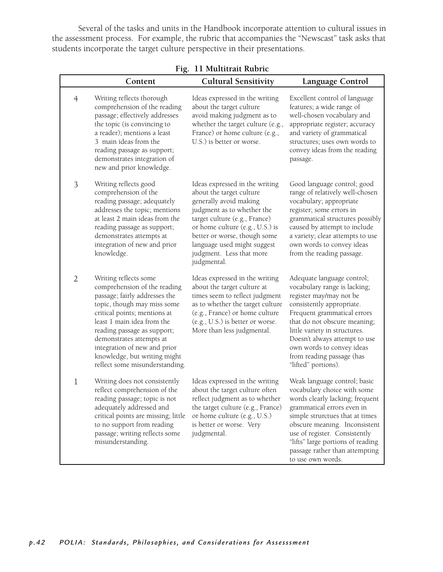Several of the tasks and units in the Handbook incorporate attention to cultural issues in the assessment process. For example, the rubric that accompanies the "Newscast" task asks that students incorporate the target culture perspective in their presentations.

|                | Content                                                                                                                                                                                                                                                                                                                                          | <b>Cultural Sensitivity</b>                                                                                                                                                                                                                                                                      | Language Control                                                                                                                                                                                                                                                                                                                     |  |  |
|----------------|--------------------------------------------------------------------------------------------------------------------------------------------------------------------------------------------------------------------------------------------------------------------------------------------------------------------------------------------------|--------------------------------------------------------------------------------------------------------------------------------------------------------------------------------------------------------------------------------------------------------------------------------------------------|--------------------------------------------------------------------------------------------------------------------------------------------------------------------------------------------------------------------------------------------------------------------------------------------------------------------------------------|--|--|
| $\overline{4}$ | Writing reflects thorough<br>comprehension of the reading<br>passage; effectively addresses<br>the topic (is convincing to<br>a reader); mentions a least<br>3 main ideas from the<br>reading passage as support;<br>demonstrates integration of<br>new and prior knowledge.                                                                     | Ideas expressed in the writing<br>about the target culture<br>avoid making judgment as to<br>whether the target culture (e.g.,<br>France) or home culture (e.g.,<br>U.S.) is better or worse.                                                                                                    | Excellent control of language<br>features; a wide range of<br>well-chosen vocabulary and<br>appropriate register; accuracy<br>and variety of grammatical<br>structures; uses own words to<br>convey ideas from the reading<br>passage.                                                                                               |  |  |
| 3              | Writing reflects good<br>comprehension of the<br>reading passage; adequately<br>addresses the topic; mentions<br>at least 2 main ideas from the<br>reading passage as support;<br>demonstrates attempts at<br>integration of new and prior<br>knowledge.                                                                                         | Ideas expressed in the writing<br>about the target culture<br>generally avoid making<br>judgment as to whether the<br>target culture (e.g., France)<br>or home culture (e.g., U.S.) is<br>better or worse, though some<br>language used might suggest<br>judgment. Less that more<br>judgmental. | Good language control; good<br>range of relatively well-chosen<br>vocabulary; appropriate<br>register; some errors in<br>grammatical structures possibly<br>caused by attempt to include<br>a variety; clear attempts to use<br>own words to convey ideas<br>from the reading passage.                                               |  |  |
| $\overline{2}$ | Writing reflects some<br>comprehension of the reading<br>passage; fairly addresses the<br>topic, though may miss some<br>critical points; mentions at<br>least 1 main idea from the<br>reading passage as support;<br>demonstrates attempts at<br>integration of new and prior<br>knowledge, but writing might<br>reflect some misunderstanding. | Ideas expressed in the writing<br>about the target culture at<br>times seem to reflect judgment<br>as to whether the target culture<br>(e.g., France) or home culture<br>(e.g., U.S.) is better or worse.<br>More than less judgmental.                                                          | Adequate language control;<br>vocabulary range is lacking;<br>register may/may not be<br>consistently appropriate.<br>Frequent grammatical errors<br>that do not obscure meaning;<br>little variety in structures.<br>Doesn't always attempt to use<br>own words to convey ideas<br>from reading passage (has<br>"lifted" portions). |  |  |
| $\mathbf 1$    | Writing does not consistently<br>reflect comprehension of the<br>reading passage; topic is not<br>adequately addressed and<br>critical points are missing; little<br>to no support from reading<br>passage; writing reflects some<br>misunderstanding.                                                                                           | Ideas expressed in the writing<br>about the target culture often<br>reflect judgment as to whether<br>the target culture (e.g., France)<br>or home culture (e.g., U.S.)<br>is better or worse. Very<br>judgmental.                                                                               | Weak language control; basic<br>vocabulary choice with some<br>words clearly lacking; frequent<br>grammatical errors even in<br>simple strurctues that at times<br>obscure meaning. Inconsistent<br>use of register. Consistently<br>"lifts" large portions of reading<br>passage rather than attempting<br>to use own words.        |  |  |

**Fig. 11 Multitrait Rubric**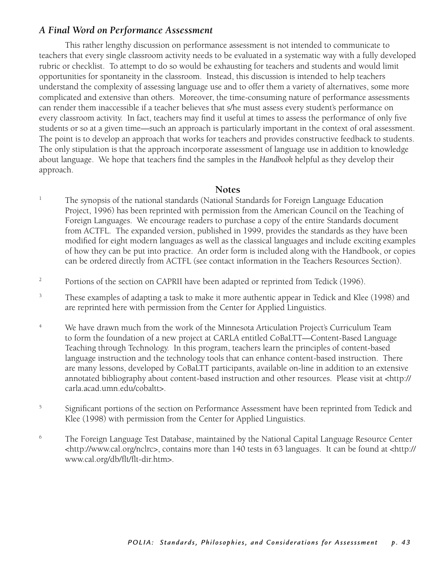#### *A Final Word on Performance Assessment*

 This rather lengthy discussion on performance assessment is not intended to communicate to teachers that every single classroom activity needs to be evaluated in a systematic way with a fully developed rubric or checklist. To attempt to do so would be exhausting for teachers and students and would limit opportunities for spontaneity in the classroom. Instead, this discussion is intended to help teachers understand the complexity of assessing language use and to offer them a variety of alternatives, some more complicated and extensive than others. Moreover, the time-consuming nature of performance assessments can render them inaccessible if a teacher believes that s/he must assess every student's performance on every classroom activity. In fact, teachers may find it useful at times to assess the performance of only five students or so at a given time—such an approach is particularly important in the context of oral assessment. The point is to develop an approach that works for teachers and provides constructive feedback to students. The only stipulation is that the approach incorporate assessment of language use in addition to knowledge about language. We hope that teachers find the samples in the *Handbook* helpful as they develop their approach.

#### **Notes**

- 1 The synopsis of the national standards (National Standards for Foreign Language Education Project, 1996) has been reprinted with permission from the American Council on the Teaching of Foreign Languages. We encourage readers to purchase a copy of the entire Standards document from ACTFL. The expanded version, published in 1999, provides the standards as they have been modified for eight modern languages as well as the classical languages and include exciting examples of how they can be put into practice. An order form is included along with the Handbook, or copies can be ordered directly from ACTFL (see contact information in the Teachers Resources Section).
- 2 Portions of the section on CAPRII have been adapted or reprinted from Tedick (1996).
- 3 These examples of adapting a task to make it more authentic appear in Tedick and Klee (1998) and are reprinted here with permission from the Center for Applied Linguistics.
- 4 We have drawn much from the work of the Minnesota Articulation Project's Curriculum Team to form the foundation of a new project at CARLA entitled CoBaLTT—Content-Based Language Teaching through Technology. In this program, teachers learn the principles of content-based language instruction and the technology tools that can enhance content-based instruction. There are many lessons, developed by CoBaLTT participants, available on-line in addition to an extensive annotated bibliography about content-based instruction and other resources. Please visit at <http:// carla.acad.umn.edu/cobaltt>.
- 5 Significant portions of the section on Performance Assessment have been reprinted from Tedick and Klee (1998) with permission from the Center for Applied Linguistics.
- 6 The Foreign Language Test Database, maintained by the National Capital Language Resource Center <http://www.cal.org/nclrc>, contains more than 140 tests in 63 languages. It can be found at <http:// www.cal.org/db/flt/flt-dir.htm>.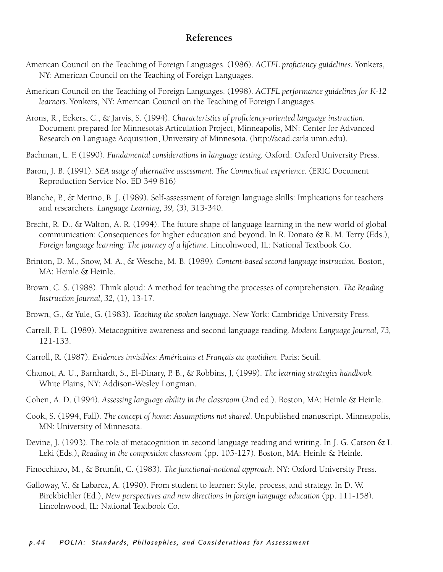#### **References**

- American Council on the Teaching of Foreign Languages. (1986). *ACTFL proficiency guidelines.* Yonkers, NY: American Council on the Teaching of Foreign Languages.
- American Council on the Teaching of Foreign Languages. (1998). *ACTFL performance guidelines for K-12 learners.* Yonkers, NY: American Council on the Teaching of Foreign Languages.
- Arons, R., Eckers, C., & Jarvis, S. (1994). *Characteristics of proficiency-oriented language instruction.*  Document prepared for Minnesota's Articulation Project, Minneapolis, MN: Center for Advanced Research on Language Acquisition, University of Minnesota. (http://acad.carla.umn.edu).
- Bachman, L. F. (1990). *Fundamental considerations in language testing.* Oxford: Oxford University Press.
- Baron, J. B. (1991). *SEA usage of alternative assessment: The Connecticut experience.* (ERIC Document Reproduction Service No. ED 349 816)
- Blanche, P., & Merino, B. J. (1989). Self-assessment of foreign language skills: Implications for teachers and researchers. *Language Learning, 39,* (3), 313-340.
- Brecht, R. D., & Walton, A. R. (1994). The future shape of language learning in the new world of global communication: Consequences for higher education and beyond. In R. Donato & R. M. Terry (Eds.), *Foreign language learning: The journey of a lifetime.* Lincolnwood, IL: National Textbook Co.
- Brinton, D. M., Snow, M. A., & Wesche, M. B. (1989)*. Content-based second language instruction.* Boston, MA: Heinle & Heinle.
- Brown, C. S. (1988). Think aloud: A method for teaching the processes of comprehension. *The Reading Instruction Journal, 32,* (1), 13-17.
- Brown, G., & Yule, G. (1983). *Teaching the spoken language.* New York: Cambridge University Press.
- Carrell, P. L. (1989). Metacognitive awareness and second language reading*. Modern Language Journal, 73,*  121-133.
- Carroll, R. (1987). *Evidences invisibles: Américains et Français au quotidien.* Paris: Seuil.
- Chamot, A. U., Barnhardt, S., El-Dinary, P. B., & Robbins, J, (1999). *The learning strategies handbook.* White Plains, NY: Addison-Wesley Longman.
- Cohen, A. D. (1994). *Assessing language ability in the classroom* (2nd ed.). Boston, MA: Heinle & Heinle.
- Cook, S. (1994, Fall). *The concept of home: Assumptions not shared*. Unpublished manuscript. Minneapolis, MN: University of Minnesota.
- Devine, J. (1993). The role of metacognition in second language reading and writing. In J. G. Carson & I. Leki (Eds.), *Reading in the composition classroom* (pp. 105-127). Boston, MA: Heinle & Heinle.
- Finocchiaro, M., & Brumfit, C. (1983). *The functional-notional approach*. NY: Oxford University Press.
- Galloway, V., & Labarca, A. (1990). From student to learner: Style, process, and strategy. In D. W. Birckbichler (Ed.), *New perspectives and new directions in foreign language education* (pp. 111-158). Lincolnwood, IL: National Textbook Co.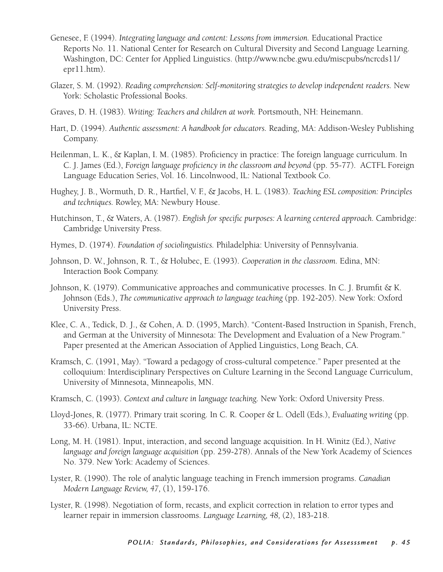- Genesee, F. (1994). *Integrating language and content: Lessons from immersion.* Educational Practice Reports No. 11. National Center for Research on Cultural Diversity and Second Language Learning. Washington, DC: Center for Applied Linguistics. (http://www.ncbe.gwu.edu/miscpubs/ncrcds11/ epr11.htm).
- Glazer, S. M. (1992). *Reading comprehension: Self-monitoring strategies to develop independent readers.* New York: Scholastic Professional Books.
- Graves, D. H. (1983). *Writing: Teachers and children at work.* Portsmouth, NH: Heinemann.
- Hart, D. (1994). *Authentic assessment: A handbook for educators.* Reading, MA: Addison-Wesley Publishing Company.
- Heilenman, L. K., & Kaplan, I. M. (1985). Proficiency in practice: The foreign language curriculum. In C. J. James (Ed.), *Foreign language proficiency in the classroom and beyond* (pp. 55-77). ACTFL Foreign Language Education Series, Vol. 16. Lincolnwood, IL: National Textbook Co.
- Hughey, J. B., Wormuth, D. R., Hartfiel, V. F., & Jacobs, H. L. (1983). *Teaching ESL composition: Principles and techniques.* Rowley, MA: Newbury House.
- Hutchinson, T., & Waters, A. (1987). *English for specific purposes: A learning centered approach.* Cambridge: Cambridge University Press.
- Hymes, D. (1974). *Foundation of sociolinguistics.* Philadelphia: University of Pennsylvania.
- Johnson, D. W., Johnson, R. T., & Holubec, E. (1993). *Cooperation in the classroom.* Edina, MN: Interaction Book Company.
- Johnson, K. (1979). Communicative approaches and communicative processes. In C. J. Brumfit & K. Johnson (Eds.), *The communicative approach to language teaching* (pp. 192-205). New York: Oxford University Press.
- Klee, C. A., Tedick, D. J., & Cohen, A. D. (1995, March). "Content-Based Instruction in Spanish, French, and German at the University of Minnesota: The Development and Evaluation of a New Program." Paper presented at the American Association of Applied Linguistics, Long Beach, CA.
- Kramsch, C. (1991, May). "Toward a pedagogy of cross-cultural competence." Paper presented at the colloquium: Interdisciplinary Perspectives on Culture Learning in the Second Language Curriculum, University of Minnesota, Minneapolis, MN.
- Kramsch, C. (1993). *Context and culture in language teaching.* New York: Oxford University Press.
- Lloyd-Jones, R. (1977). Primary trait scoring. In C. R. Cooper & L. Odell (Eds.), *Evaluating writing* (pp. 33-66). Urbana, IL: NCTE.
- Long, M. H. (1981). Input, interaction, and second language acquisition. In H. Winitz (Ed.), *Native language and foreign language acquisition* (pp. 259-278). Annals of the New York Academy of Sciences No. 379. New York: Academy of Sciences.
- Lyster, R. (1990). The role of analytic language teaching in French immersion programs. *Canadian Modern Language Review, 47,* (1), 159-176.
- Lyster, R. (1998). Negotiation of form, recasts, and explicit correction in relation to error types and learner repair in immersion classrooms. *Language Learning, 48,* (2), 183-218.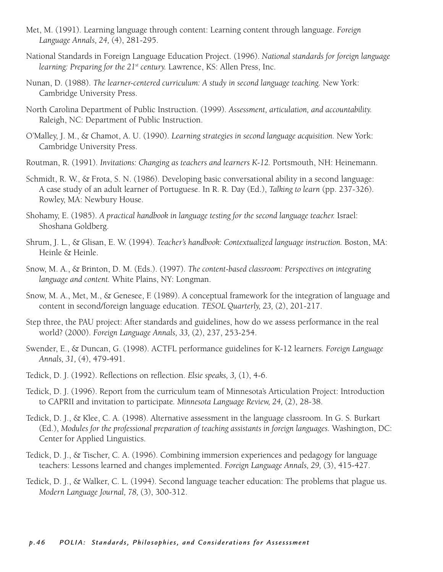- Met, M. (1991). Learning language through content: Learning content through language. *Foreign Language Annals, 24,* (4), 281-295.
- National Standards in Foreign Language Education Project. (1996). *National standards for foreign language learning: Preparing for the 21st century.* Lawrence, KS: Allen Press, Inc.
- Nunan, D. (1988). *The learner-centered curriculum: A study in second language teaching.* New York: Cambridge University Press.
- North Carolina Department of Public Instruction. (1999). *Assessment, articulation, and accountability.* Raleigh, NC: Department of Public Instruction.
- O'Malley, J. M., & Chamot, A. U. (1990). *Learning strategies in second language acquisition.* New York: Cambridge University Press.
- Routman, R. (1991). *Invitations: Changing as teachers and learners K-12.* Portsmouth, NH: Heinemann.
- Schmidt, R. W., & Frota, S. N. (1986). Developing basic conversational ability in a second language: A case study of an adult learner of Portuguese. In R. R. Day (Ed.), *Talking to learn* (pp. 237-326). Rowley, MA: Newbury House.
- Shohamy, E. (1985). *A practical handbook in language testing for the second language teacher.* Israel: Shoshana Goldberg.
- Shrum, J. L., & Glisan, E. W. (1994). *Teacher's handbook: Contextualized language instruction.* Boston, MA: Heinle & Heinle.
- Snow, M. A., & Brinton, D. M. (Eds.). (1997). *The content-based classroom: Perspectives on integrating language and content.* White Plains, NY: Longman.
- Snow, M. A., Met, M., & Genesee, F. (1989). A conceptual framework for the integration of language and content in second/foreign language education. *TESOL Quarterly, 23,* (2), 201-217.
- Step three, the PAU project: After standards and guidelines, how do we assess performance in the real world? (2000). *Foreign Language Annals, 33,* (2), 237, 253-254.
- Swender, E., & Duncan, G. (1998). ACTFL performance guidelines for K-12 learners*. Foreign Language Annals, 31,* (4), 479-491.
- Tedick, D. J. (1992). Reflections on reflection. *Elsie speaks, 3,* (1), 4-6.
- Tedick, D. J. (1996). Report from the curriculum team of Minnesota's Articulation Project: Introduction to CAPRII and invitation to participate*. Minnesota Language Review, 24,* (2), 28-38.
- Tedick, D. J., & Klee, C. A. (1998). Alternative assessment in the language classroom. In G. S. Burkart (Ed.), *Modules for the professional preparation of teaching assistants in foreign languages.* Washington, DC: Center for Applied Linguistics.
- Tedick, D. J., & Tischer, C. A. (1996). Combining immersion experiences and pedagogy for language teachers: Lessons learned and changes implemented. *Foreign Language Annals, 29,* (3), 415-427.
- Tedick, D. J., & Walker, C. L. (1994). Second language teacher education: The problems that plague us. *Modern Language Journal, 78,* (3), 300-312.